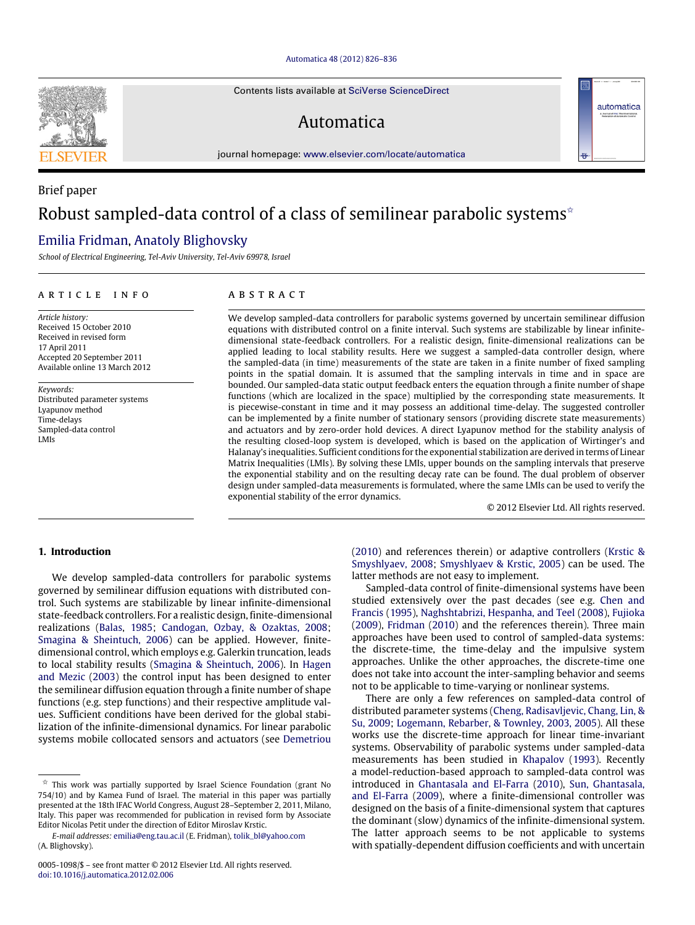#### [Automatica 48 \(2012\) 826–836](http://dx.doi.org/10.1016/j.automatica.2012.02.006)

Contents lists available at [SciVerse ScienceDirect](http://www.elsevier.com/locate/automatica)

## Automatica

journal homepage: [www.elsevier.com/locate/automatica](http://www.elsevier.com/locate/automatica)

# Brief paper Robust sampled-data control of a class of semilinear parabolic systems<sup> $\dot{\mathbf{x}}$ </sup>

## [Emilia Fridman,](#page-10-0) [Anatoly Blighovsky](#page-10-1)

*School of Electrical Engineering, Tel-Aviv University, Tel-Aviv 69978, Israel*

### ARTICLE INFO

*Article history:* Received 15 October 2010 Received in revised form 17 April 2011 Accepted 20 September 2011 Available online 13 March 2012

*Keywords:* Distributed parameter systems Lyapunov method Time-delays Sampled-data control LMIs

## a b s t r a c t

We develop sampled-data controllers for parabolic systems governed by uncertain semilinear diffusion equations with distributed control on a finite interval. Such systems are stabilizable by linear infinitedimensional state-feedback controllers. For a realistic design, finite-dimensional realizations can be applied leading to local stability results. Here we suggest a sampled-data controller design, where the sampled-data (in time) measurements of the state are taken in a finite number of fixed sampling points in the spatial domain. It is assumed that the sampling intervals in time and in space are bounded. Our sampled-data static output feedback enters the equation through a finite number of shape functions (which are localized in the space) multiplied by the corresponding state measurements. It is piecewise-constant in time and it may possess an additional time-delay. The suggested controller can be implemented by a finite number of stationary sensors (providing discrete state measurements) and actuators and by zero-order hold devices. A direct Lyapunov method for the stability analysis of the resulting closed-loop system is developed, which is based on the application of Wirtinger's and Halanay's inequalities. Sufficient conditions for the exponential stabilization are derived in terms of Linear Matrix Inequalities (LMIs). By solving these LMIs, upper bounds on the sampling intervals that preserve the exponential stability and on the resulting decay rate can be found. The dual problem of observer design under sampled-data measurements is formulated, where the same LMIs can be used to verify the exponential stability of the error dynamics.

© 2012 Elsevier Ltd. All rights reserved.

automatica

## **1. Introduction**

We develop sampled-data controllers for parabolic systems governed by semilinear diffusion equations with distributed control. Such systems are stabilizable by linear infinite-dimensional state-feedback controllers. For a realistic design, finite-dimensional realizations [\(Balas,](#page-9-0) [1985;](#page-9-0) [Candogan,](#page-9-1) [Ozbay,](#page-9-1) [&](#page-9-1) [Ozaktas,](#page-9-1) [2008;](#page-9-1) [Smagina](#page-9-2) [&](#page-9-2) [Sheintuch,](#page-9-2) [2006\)](#page-9-2) can be applied. However, finitedimensional control, which employs e.g. Galerkin truncation, leads to local stability results [\(Smagina](#page-9-2) [&](#page-9-2) [Sheintuch,](#page-9-2) [2006\)](#page-9-2). In [Hagen](#page-9-3) [and](#page-9-3) [Mezic](#page-9-3) [\(2003\)](#page-9-3) the control input has been designed to enter the semilinear diffusion equation through a finite number of shape functions (e.g. step functions) and their respective amplitude values. Sufficient conditions have been derived for the global stabilization of the infinite-dimensional dynamics. For linear parabolic systems mobile collocated sensors and actuators (see [Demetriou](#page-9-4) [\(2010\)](#page-9-4) and references therein) or adaptive controllers [\(Krstic](#page-9-5) [&](#page-9-5) [Smyshlyaev,](#page-9-5) [2008;](#page-9-5) [Smyshlyaev](#page-9-6) [&](#page-9-6) [Krstic,](#page-9-6) [2005\)](#page-9-6) can be used. The latter methods are not easy to implement.

Sampled-data control of finite-dimensional systems have been studied extensively over the past decades (see e.g. [Chen](#page-9-7) [and](#page-9-7) [Francis](#page-9-7) [\(1995\)](#page-9-7), [Naghshtabrizi,](#page-9-8) [Hespanha,](#page-9-8) [and](#page-9-8) [Teel](#page-9-8) [\(2008\)](#page-9-8), [Fujioka](#page-9-9) [\(2009\)](#page-9-9), [Fridman](#page-9-10) [\(2010\)](#page-9-10) and the references therein). Three main approaches have been used to control of sampled-data systems: the discrete-time, the time-delay and the impulsive system approaches. Unlike the other approaches, the discrete-time one does not take into account the inter-sampling behavior and seems not to be applicable to time-varying or nonlinear systems.

There are only a few references on sampled-data control of distributed parameter systems [\(Cheng,](#page-9-11) [Radisavljevic,](#page-9-11) [Chang,](#page-9-11) [Lin,](#page-9-11) [&](#page-9-11) [Su,](#page-9-11) [2009;](#page-9-11) [Logemann,](#page-9-12) [Rebarber,](#page-9-12) [&](#page-9-12) [Townley,](#page-9-12) [2003,](#page-9-12) [2005\)](#page-9-13). All these works use the discrete-time approach for linear time-invariant systems. Observability of parabolic systems under sampled-data measurements has been studied in [Khapalov](#page-9-14) [\(1993\)](#page-9-14). Recently a model-reduction-based approach to sampled-data control was introduced in [Ghantasala](#page-9-15) [and](#page-9-15) [El-Farra](#page-9-15) [\(2010\)](#page-9-15), [Sun,](#page-9-16) [Ghantasala,](#page-9-16) [and](#page-9-16) [El-Farra](#page-9-16) [\(2009\)](#page-9-16), where a finite-dimensional controller was designed on the basis of a finite-dimensional system that captures the dominant (slow) dynamics of the infinite-dimensional system. The latter approach seems to be not applicable to systems with spatially-dependent diffusion coefficients and with uncertain



<span id="page-0-0"></span> $\overrightarrow{x}$  This work was partially supported by Israel Science Foundation (grant No 754/10) and by Kamea Fund of Israel. The material in this paper was partially presented at the 18th IFAC World Congress, August 28–September 2, 2011, Milano, Italy. This paper was recommended for publication in revised form by Associate Editor Nicolas Petit under the direction of Editor Miroslav Krstic.

*E-mail addresses:* [emilia@eng.tau.ac.il](mailto:emilia@eng.tau.ac.il) (E. Fridman), [tolik\\_bl@yahoo.com](mailto:tolik_bl@yahoo.com) (A. Blighovsky).

<sup>0005-1098/\$ –</sup> see front matter © 2012 Elsevier Ltd. All rights reserved. [doi:10.1016/j.automatica.2012.02.006](http://dx.doi.org/10.1016/j.automatica.2012.02.006)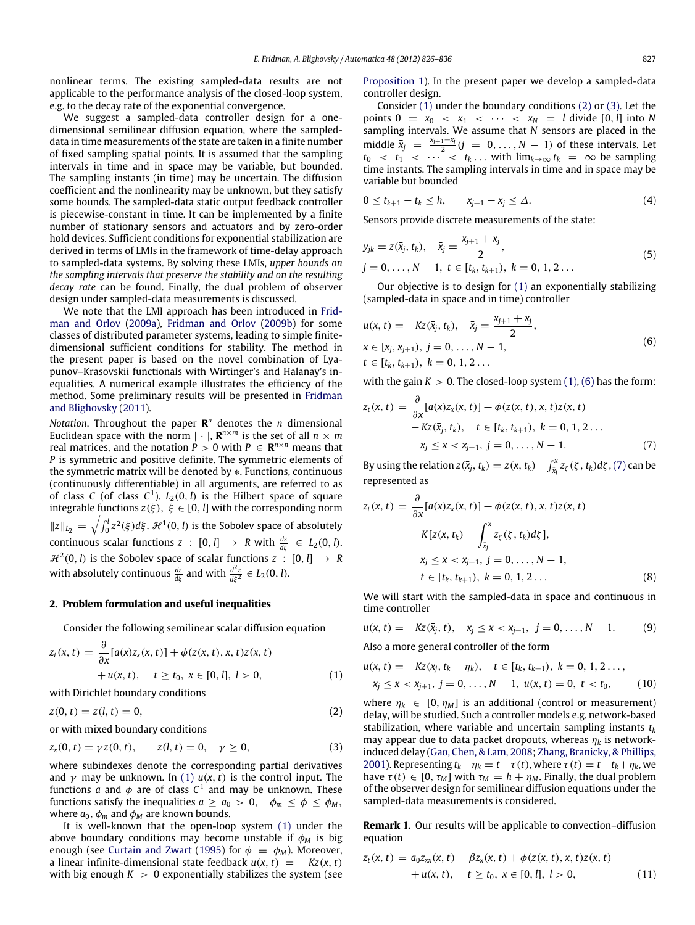nonlinear terms. The existing sampled-data results are not applicable to the performance analysis of the closed-loop system, e.g. to the decay rate of the exponential convergence.

We suggest a sampled-data controller design for a onedimensional semilinear diffusion equation, where the sampleddata in time measurements of the state are taken in a finite number of fixed sampling spatial points. It is assumed that the sampling intervals in time and in space may be variable, but bounded. The sampling instants (in time) may be uncertain. The diffusion coefficient and the nonlinearity may be unknown, but they satisfy some bounds. The sampled-data static output feedback controller is piecewise-constant in time. It can be implemented by a finite number of stationary sensors and actuators and by zero-order hold devices. Sufficient conditions for exponential stabilization are derived in terms of LMIs in the framework of time-delay approach to sampled-data systems. By solving these LMIs, *upper bounds on the sampling intervals that preserve the stability and on the resulting decay rate* can be found. Finally, the dual problem of observer design under sampled-data measurements is discussed.

We note that the LMI approach has been introduced in [Frid](#page-9-17)[man](#page-9-17) [and](#page-9-17) [Orlov](#page-9-17) [\(2009a\)](#page-9-17), [Fridman](#page-9-18) [and](#page-9-18) [Orlov](#page-9-18) [\(2009b\)](#page-9-18) for some classes of distributed parameter systems, leading to simple finitedimensional sufficient conditions for stability. The method in the present paper is based on the novel combination of Lyapunov–Krasovskii functionals with Wirtinger's and Halanay's inequalities. A numerical example illustrates the efficiency of the method. Some preliminary results will be presented in [Fridman](#page-9-19) [and](#page-9-19) [Blighovsky](#page-9-19) [\(2011\)](#page-9-19).

*Notation*. Throughout the paper **R**<sup>*n*</sup> denotes the *n* dimensional Euclidean space with the norm  $|\cdot|$ ,  $\mathbb{R}^{n \times m}$  is the set of all  $n \times m$ real matrices, and the notation  $P > 0$  with  $P \in \mathbb{R}^{n \times n}$  means that *P* is symmetric and positive definite. The symmetric elements of the symmetric matrix will be denoted by ∗. Functions, continuous (continuously differentiable) in all arguments, are referred to as of class *C* (of class  $C^1$ ).  $L_2(0, l)$  is the Hilbert space of square integrable functions  $z(\xi)$ ,  $\xi \in [0, l]$  with the corresponding norm  $||z||_{L_2} = \sqrt{\int_0^l z^2(\xi) d\xi}$ .  $\mathcal{H}^1(0, l)$  is the Sobolev space of absolutely continuous scalar functions  $z$  :  $[0, l] \rightarrow R$  with  $\frac{dz}{d\xi} \in L_2(0, l)$ .  $\mathcal{H}^2(0, l)$  is the Sobolev space of scalar functions  $z : [0, l] \rightarrow R$ with absolutely continuous  $\frac{dz}{d\xi}$  and with  $\frac{d^2z}{d\xi^2} \in L_2(0, l)$ .

## **2. Problem formulation and useful inequalities**

Consider the following semilinear scalar diffusion equation

$$
z_t(x, t) = \frac{\partial}{\partial x} [a(x)z_x(x, t)] + \phi(z(x, t), x, t)z(x, t) + u(x, t), \quad t \ge t_0, x \in [0, l], l > 0,
$$
 (1)

with Dirichlet boundary conditions

or with mixed boundary conditions

∂

$$
z(0, t) = z(l, t) = 0,
$$
 (2)

$$
z_x(0, t) = \gamma z(0, t), \qquad z(l, t) = 0, \quad \gamma \ge 0,
$$
 (3)

where subindexes denote the corresponding partial derivatives and  $\gamma$  may be unknown. In [\(1\)](#page-1-0)  $u(x, t)$  is the control input. The functions  $a$  and  $\phi$  are of class  $C^1$  and may be unknown. These functions satisfy the inequalities  $a \ge a_0 > 0$ ,  $\phi_m \le \phi \le \phi_M$ , where  $a_0$ ,  $\phi_m$  and  $\phi_M$  are known bounds.

It is well-known that the open-loop system [\(1\)](#page-1-0) under the above boundary conditions may become unstable if  $\phi_M$  is big enough (see [Curtain](#page-9-20) [and](#page-9-20) [Zwart](#page-9-20) [\(1995\)](#page-9-20) for  $\phi = \phi_M$ ). Moreover, a linear infinite-dimensional state feedback  $u(x, t) = -Kz(x, t)$ with big enough  $K > 0$  exponentially stabilizes the system (see [Proposition 1\)](#page-4-0). In the present paper we develop a sampled-data controller design.

Consider [\(1\)](#page-1-0) under the boundary conditions [\(2\)](#page-1-1) or [\(3\).](#page-1-2) Let the points  $0 = x_0 < x_1 < \cdots < x_N = l$  divide [0, *l*] into *N* sampling intervals. We assume that *N* sensors are placed in the middle  $\bar{x}_j = \frac{x_{j+1} + x_j}{2}$  (*j* = 0, ..., *N* − 1) of these intervals. Let  $t_0$  <  $t_1$  < ··· <sup> $\tilde{t}$ </sup> <  $t_k$ ... with  $\lim_{k\to\infty} t_k$  =  $\infty$  be sampling time instants. The sampling intervals in time and in space may be variable but bounded

$$
0 \le t_{k+1} - t_k \le h, \qquad x_{j+1} - x_j \le \Delta. \tag{4}
$$

Sensors provide discrete measurements of the state:

<span id="page-1-5"></span>
$$
y_{jk} = z(\bar{x}_j, t_k), \quad \bar{x}_j = \frac{x_{j+1} + x_j}{2},
$$
  
\n
$$
j = 0, \dots, N - 1, t \in [t_k, t_{k+1}), k = 0, 1, 2 \dots
$$
\n(5)

Our objective is to design for [\(1\)](#page-1-0) an exponentially stabilizing (sampled-data in space and in time) controller

<span id="page-1-3"></span>
$$
u(x, t) = -Kz(\bar{x}_j, t_k), \quad \bar{x}_j = \frac{x_{j+1} + x_j}{2},
$$
  
\n
$$
x \in [x_j, x_{j+1}), j = 0, ..., N - 1,
$$
  
\n
$$
t \in [t_k, t_{k+1}), k = 0, 1, 2...
$$
\n(6)

with the gain  $K > 0$ . The closed-loop system  $(1)$ ,  $(6)$  has the form:

$$
z_t(x, t) = \frac{\partial}{\partial x} [a(x)z_x(x, t)] + \phi(z(x, t), x, t)z(x, t)
$$
  
- Kz( $\bar{x}_j$ ,  $t_k$ ),  $t \in [t_k, t_{k+1})$ ,  $k = 0, 1, 2...$   
 $x_j \le x < x_{j+1}$ ,  $j = 0, ..., N - 1$ . (7)

<span id="page-1-4"></span>By using the relation  $z(\bar{x}_j, t_k) = z(x, t_k) - \int_{\bar{x}_j}^x z_\zeta(\zeta, t_k) d\zeta$ , [\(7\)](#page-1-4) can be represented as

$$
z_{t}(x, t) = \frac{\partial}{\partial x}[a(x)z_{x}(x, t)] + \phi(z(x, t), x, t)z(x, t) - K[z(x, t_{k}) - \int_{\bar{x}_{j}}^{x} z_{\zeta}(\zeta, t_{k})d\zeta], x_{j} \le x < x_{j+1}, j = 0, ..., N - 1, t \in [t_{k}, t_{k+1}), k = 0, 1, 2 ...
$$
 (8)

<span id="page-1-9"></span>We will start with the sampled-data in space and continuous in time controller

<span id="page-1-7"></span> $u(x, t) = -Kz(\bar{x}_j, t),$   $x_j \le x < x_{j+1},$   $j = 0, ..., N-1.$  (9)

Also a more general controller of the form

<span id="page-1-8"></span><span id="page-1-0"></span>
$$
u(x, t) = -Kz(\bar{x}_j, t_k - \eta_k), \quad t \in [t_k, t_{k+1}), \ k = 0, 1, 2...,
$$
  

$$
x_j \le x < x_{j+1}, \ j = 0, \ldots, N-1, \ u(x, t) = 0, \ t < t_0,
$$
 (10)

<span id="page-1-2"></span><span id="page-1-1"></span>where  $\eta_k \in [0, \eta_M]$  is an additional (control or measurement) delay, will be studied. Such a controller models e.g. network-based stabilization, where variable and uncertain sampling instants *t<sup>k</sup>* may appear due to data packet dropouts, whereas  $\eta_k$  is networkinduced delay [\(Gao,](#page-9-21) [Chen,](#page-9-21) [&](#page-9-21) [Lam,](#page-9-21) [2008;](#page-9-21) [Zhang,](#page-9-22) [Branicky,](#page-9-22) [&](#page-9-22) [Phillips,](#page-9-22) [2001\)](#page-9-22). Representing  $t_k - \eta_k = t - \tau(t)$ , where  $\tau(t) = t - t_k + \eta_k$ , we have  $\tau(t) \in [0, \tau_M]$  with  $\tau_M = h + \eta_M$ . Finally, the dual problem of the observer design for semilinear diffusion equations under the sampled-data measurements is considered.

<span id="page-1-10"></span>**Remark 1.** Our results will be applicable to convection–diffusion equation

<span id="page-1-6"></span>
$$
z_t(x, t) = a_0 z_{xx}(x, t) - \beta z_x(x, t) + \phi(z(x, t), x, t) z(x, t)
$$
  
+ 
$$
u(x, t), \quad t \ge t_0, \ x \in [0, l], \ l > 0,
$$
 (11)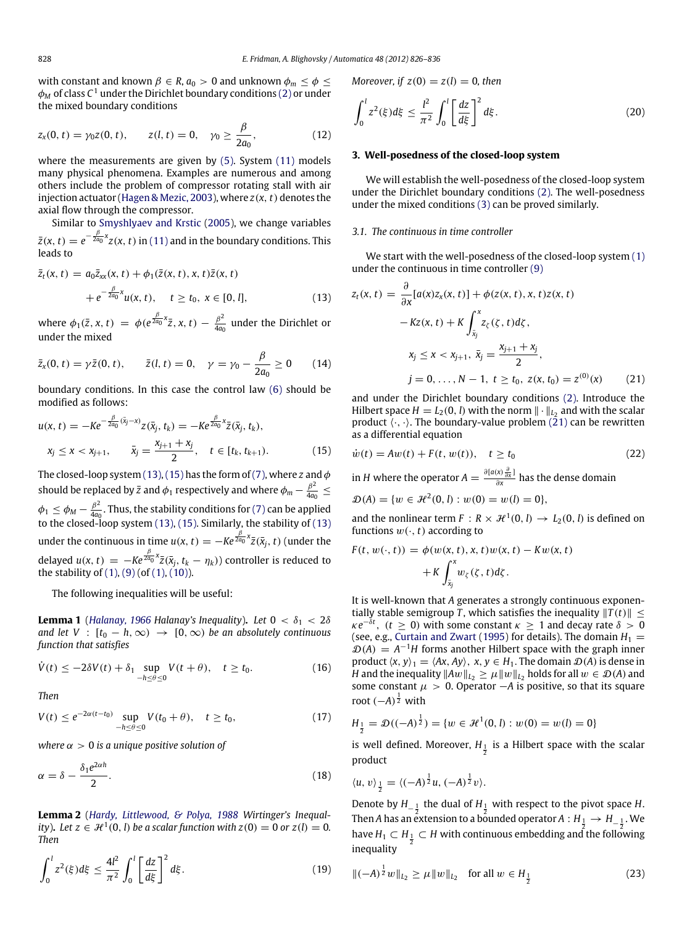with constant and known  $\beta \in R$ ,  $a_0 > 0$  and unknown  $\phi_m \leq \phi \leq$  $\phi_{M}$  of class  $\mathsf{C}^{1}$  under the Dirichlet boundary conditions [\(2\)](#page-1-1) or under the mixed boundary conditions

$$
z_x(0, t) = \gamma_0 z(0, t), \qquad z(l, t) = 0, \quad \gamma_0 \ge \frac{\beta}{2a_0}, \tag{12}
$$

where the measurements are given by [\(5\).](#page-1-5) System [\(11\)](#page-1-6) models many physical phenomena. Examples are numerous and among others include the problem of compressor rotating stall with air injection actuator [\(Hagen&](#page-9-3) [Mezic,](#page-9-3) [2003\)](#page-9-3), where *z*(*x*, *t*) denotes the axial flow through the compressor.

Similar to [Smyshlyaev](#page-9-6) [and](#page-9-6) [Krstic](#page-9-6) [\(2005\)](#page-9-6), we change variables  $\bar{z}(x,t)=e^{-\frac{\beta}{2a_0}x}z(x,t)$  in [\(11\)](#page-1-6) and in the boundary conditions. This leads to

$$
\bar{z}_t(x, t) = a_0 \bar{z}_{xx}(x, t) + \phi_1(\bar{z}(x, t), x, t)\bar{z}(x, t) \n+ e^{-\frac{\beta}{2a_0}x} u(x, t), \quad t \ge t_0, \ x \in [0, l],
$$
\n(13)

where  $\phi_1(\bar{z}, x, t) = \phi(e^{\frac{\beta}{2a_0}x} \bar{z}, x, t) - \frac{\beta^2}{4a_0}$  $\frac{p}{4a_0}$  under the Dirichlet or under the mixed

$$
\bar{z}_x(0, t) = \gamma \bar{z}(0, t), \qquad \bar{z}(l, t) = 0, \quad \gamma = \gamma_0 - \frac{\beta}{2a_0} \ge 0
$$
\n(14)

boundary conditions. In this case the control law [\(6\)](#page-1-3) should be modified as follows:

$$
u(x, t) = -Ke^{-\frac{\beta}{2a_0}(\bar{x}_j - x)} z(\bar{x}_j, t_k) = -Ke^{\frac{\beta}{2a_0}x} \bar{z}(\bar{x}_j, t_k),
$$
  

$$
x_j \le x < x_{j+1}, \qquad \bar{x}_j = \frac{x_{j+1} + x_j}{2}, \quad t \in [t_k, t_{k+1}).
$$
 (15)

The closed-loop system [\(13\),](#page-2-0) [\(15\)](#page-2-1) has the form of [\(7\),](#page-1-4) where *z* and  $\phi$ should be replaced by  $\bar{z}$  and  $\phi_1$  respectively and where  $\phi_m - \frac{\beta^2}{4 q_0} \leq$ 4*a*0  $\phi_1 \leq \phi_M - \frac{\beta^2}{4a_0}$  $\frac{p}{4a_0}$ . Thus, the stability conditions for [\(7\)](#page-1-4) can be applied to the closed-loop system [\(13\),](#page-2-0) [\(15\).](#page-2-1) Similarly, the stability of [\(13\)](#page-2-0)<br> $e^{\beta}$ under the continuous in time  $u(x, t) = -Ke^{\frac{p}{2a_0}x} \bar{z}(\bar{x}_j, t)$  (under the delayed  $u(x,t) = -Ke^{\frac{\beta}{2a_0}x} \bar{z}(\bar{x}_j,t_k-\eta_k))$  controller is reduced to the stability of [\(1\),](#page-1-0) [\(9\)](#page-1-7) (of [\(1\),](#page-1-0) [\(10\)\)](#page-1-8).

The following inequalities will be useful:

**Lemma 1** (*[Halanay,](#page-9-23) [1966](#page-9-23) Halanay's Inequality*). Let  $0 < \delta_1 < 2\delta$ *and let V* :  $[t_0 - h, \infty) \rightarrow [0, \infty)$  *be an absolutely continuous function that satisfies*

$$
\dot{V}(t) \le -2\delta V(t) + \delta_1 \sup_{-h \le \theta \le 0} V(t + \theta), \quad t \ge t_0.
$$
 (16)

*Then*

$$
V(t) \le e^{-2\alpha(t-t_0)} \sup_{-h \le \theta \le 0} V(t_0 + \theta), \quad t \ge t_0,
$$
\n
$$
(17)
$$

*where*  $\alpha > 0$  *is a unique positive solution of* 

$$
\alpha = \delta - \frac{\delta_1 e^{2\alpha h}}{2}.\tag{18}
$$

**Lemma 2** (*[Hardy,](#page-9-24) [Littlewood,](#page-9-24) [&](#page-9-24) [Polya,](#page-9-24) [1988](#page-9-24) Wirtinger's Inequality*). Let  $z \in \mathcal{H}^1(0, l)$  be a scalar function with  $z(0) = 0$  or  $z(l) = 0$ . *Then*

$$
\int_0^l z^2(\xi) d\xi \le \frac{4l^2}{\pi^2} \int_0^l \left[ \frac{dz}{d\xi} \right]^2 d\xi.
$$
 (19)

Moreover, if 
$$
z(0) = z(l) = 0
$$
, then

<span id="page-2-8"></span><span id="page-2-5"></span>
$$
\int_0^l z^2(\xi) d\xi \le \frac{l^2}{\pi^2} \int_0^l \left[ \frac{dz}{d\xi} \right]^2 d\xi.
$$
 (20)

## **3. Well-posedness of the closed-loop system**

We will establish the well-posedness of the closed-loop system under the Dirichlet boundary conditions [\(2\).](#page-1-1) The well-posedness under the mixed conditions [\(3\)](#page-1-2) can be proved similarly.

#### *3.1. The continuous in time controller*

We start with the well-posedness of the closed-loop system [\(1\)](#page-1-0) under the continuous in time controller [\(9\)](#page-1-7)

<span id="page-2-0"></span>
$$
z_{t}(x, t) = \frac{\partial}{\partial x} [a(x)z_{x}(x, t)] + \phi(z(x, t), x, t)z(x, t)
$$

$$
-Kz(x, t) + K \int_{\bar{x}_{j}}^{x} z_{\zeta}(\zeta, t) d\zeta,
$$

$$
x_{j} \le x < x_{j+1}, \ \bar{x}_{j} = \frac{x_{j+1} + x_{j}}{2},
$$

$$
j = 0, ..., N - 1, \ t \ge t_{0}, \ z(x, t_{0}) = z^{(0)}(x) \tag{21}
$$

<span id="page-2-2"></span>and under the Dirichlet boundary conditions [\(2\).](#page-1-1) Introduce the Hilbert space  $H = L_2(0, l)$  with the norm  $\|\cdot\|_{L_2}$  and with the scalar product  $\langle \cdot, \cdot \rangle$ . The boundary-value problem [\(21\)](#page-2-2) can be rewritten as a differential equation

<span id="page-2-1"></span>
$$
\dot{w}(t) = Aw(t) + F(t, w(t)), \quad t \ge t_0
$$
\n(22)

<span id="page-2-3"></span>in *H* where the operator  $A = \frac{\partial [a(x)] \frac{\partial}{\partial x}}{\partial x}$ ∂*x* has the dense domain

$$
\mathcal{D}(A) = \{w \in \mathcal{H}^2(0, l) : w(0) = w(l) = 0\},\
$$

and the nonlinear term  $F: R \times \mathcal{H}^1(0, l) \to L_2(0, l)$  is defined on functions  $w(\cdot, t)$  according to

$$
F(t, w(\cdot, t)) = \phi(w(x, t), x, t)w(x, t) - Kw(x, t)
$$

$$
+ K \int_{\bar{x}_j}^{x} w_{\zeta}(\zeta, t) d\zeta.
$$

It is well-known that *A* generates a strongly continuous exponentially stable semigroup *T*, which satisfies the inequality  $||T(t)|| \le$  $\kappa e^{-\delta t}$ , (*t* ≥ 0) with some constant  $\kappa$  ≥ 1 and decay rate  $\delta$  > 0 (see, e.g., [Curtain](#page-9-20) [and](#page-9-20) [Zwart](#page-9-20) [\(1995\)](#page-9-20) for details). The domain  $H_1 =$  $D(A) = A^{-1}H$  forms another Hilbert space with the graph inner product  $\langle x, y \rangle_1 = \langle Ax, Ay \rangle$ ,  $x, y \in H_1$ . The domain  $\mathcal{D}(A)$  is dense in *H* and the inequality  $||Aw||_{L_2} \ge \mu ||w||_{L_2}$  holds for all  $w \in \mathcal{D}(A)$  and some constant  $\mu > 0$ . Operator  $-A$  is positive, so that its square root  $(-A)^{\frac{1}{2}}$  with

<span id="page-2-6"></span>
$$
H_{\frac{1}{2}} = \mathcal{D}((-A)^{\frac{1}{2}}) = \{w \in \mathcal{H}^1(0, l) : w(0) = w(l) = 0\}
$$

is well defined. Moreover,  $H_{\frac{1}{2}}$  is a Hilbert space with the scalar product

<span id="page-2-7"></span>
$$
\langle u, v \rangle_{\frac{1}{2}} = \langle (-A)^{\frac{1}{2}} u, (-A)^{\frac{1}{2}} v \rangle.
$$

Denote by  $H_{-\frac{1}{2}}$  the dual of  $H_{\frac{1}{2}}$  with respect to the pivot space *H*. Then A has an extension to a bounded operator  $A: H_{\frac{1}{2}} \to H_{-\frac{1}{2}}.$  We have  $H_1 \subset H_{\frac{1}{2}} \subset H$  with continuous embedding and the following inequality

<span id="page-2-4"></span>
$$
\|(-A)^{\frac{1}{2}}w\|_{L_2} \ge \mu \|w\|_{L_2} \quad \text{for all } w \in H_{\frac{1}{2}} \tag{23}
$$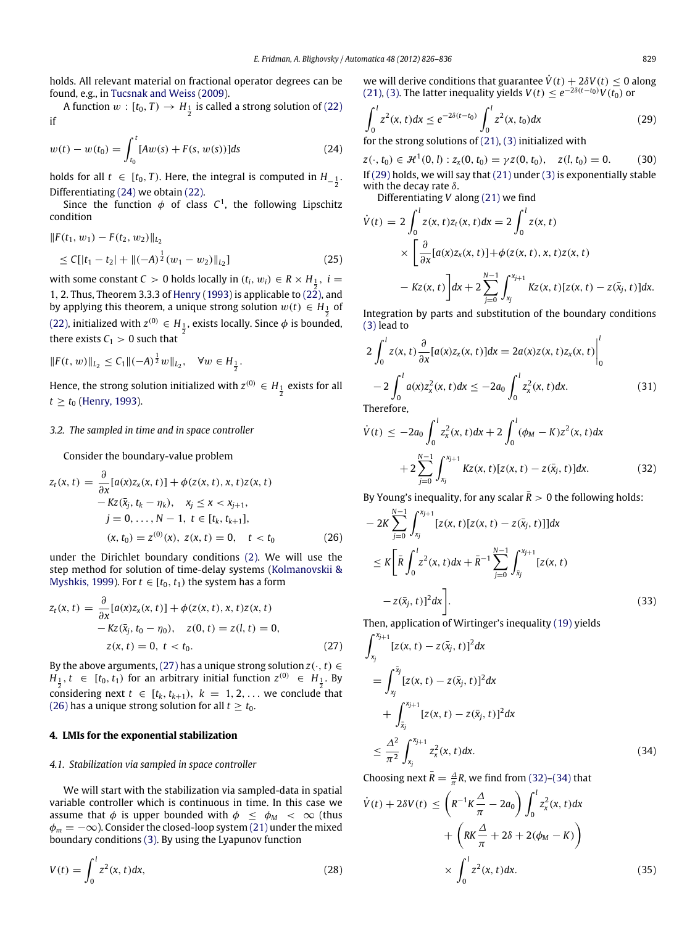holds. All relevant material on fractional operator degrees can be found, e.g., in [Tucsnak](#page-9-25) [and](#page-9-25) [Weiss](#page-9-25) [\(2009\)](#page-9-25).

A function  $w: [t_0, T) \to H_{\frac{1}{2}}$  is called a strong solution of [\(22\)](#page-2-3) if

$$
w(t) - w(t_0) = \int_{t_0}^t [Aw(s) + F(s, w(s))]ds
$$
\n(24)

holds for all  $t \in [t_0, T)$ . Here, the integral is computed in  $H_{-\frac{1}{2}}$ . Differentiating [\(24\)](#page-3-0) we obtain [\(22\).](#page-2-3)

Since the function  $\phi$  of class  $C^1$ , the following Lipschitz condition

$$
||F(t_1, w_1) - F(t_2, w_2)||_{L_2}
$$
  
\n
$$
\leq C[|t_1 - t_2| + ||(-A)^{\frac{1}{2}}(w_1 - w_2)||_{L_2}]
$$
\n(25)

with some constant  $C > 0$  holds locally in  $(t_i, w_i) \in R \times H_{\frac{1}{2}}$ ,  $i =$ 1, 2. Thus, Theorem 3.3.3 of [Henry](#page-9-26) [\(1993\)](#page-9-26) is applicable to  $(2\overset{2}{2})$ , and by applying this theorem, a unique strong solution  $w(t) \in H_{\frac{1}{2}}$  of [\(22\),](#page-2-3) initialized with  $z^{(0)} \in H_{\frac{1}{2}}$ , exists locally. Since  $\phi$  is bounded, there exists  $C_1 > 0$  such that

 $||F(t, w)||_{L_2} \leq C_1 ||(-A)^{\frac{1}{2}}w||_{L_2}, \quad \forall w \in H_{\frac{1}{2}}.$ 

Hence, the strong solution initialized with  $z^{(0)} \in H_{\frac{1}{2}}$  exists for all  $t \ge t_0$  [\(Henry,](#page-9-26) [1993\)](#page-9-26).

#### *3.2. The sampled in time and in space controller*

Consider the boundary-value problem

$$
z_{t}(x, t) = \frac{\partial}{\partial x} [a(x)z_{x}(x, t)] + \phi(z(x, t), x, t)z(x, t)
$$
  
- Kz(\bar{x}\_{j}, t\_{k} - \eta\_{k}),  $x_{j} \le x < x_{j+1},$   
 $j = 0, ..., N - 1, t \in [t_{k}, t_{k+1}],$   
 $(x, t_{0}) = z^{(0)}(x), z(x, t) = 0, t < t_{0}$  (26)

under the Dirichlet boundary conditions [\(2\).](#page-1-1) We will use the step method for solution of time-delay systems [\(Kolmanovskii](#page-9-27) [&](#page-9-27) [Myshkis,](#page-9-27) [1999\)](#page-9-27). For  $t \in [t_0, t_1)$  the system has a form

$$
z_t(x, t) = \frac{\partial}{\partial x} [a(x)z_x(x, t)] + \phi(z(x, t), x, t)z(x, t) - Kz(\bar{x}_j, t_0 - \eta_0), \quad z(0, t) = z(l, t) = 0, z(x, t) = 0, t < t_0.
$$
 (27)

By the above arguments, [\(27\)](#page-3-1) has a unique strong solution  $z(\cdot, t) \in$ *H*<sub>1</sub>, *t* ∈ [*t*<sub>0</sub>, *t*<sub>1</sub>) for an arbitrary initial function  $z^{(0)}$  ∈ *H*<sub>1</sub>. By considering next  $t \in [t_k, t_{k+1}), k = 1, 2, ...$  we conclude that [\(26\)](#page-3-2) has a unique strong solution for all  $t \geq t_0$ .

#### **4. LMIs for the exponential stabilization**

#### *4.1. Stabilization via sampled in space controller*

We will start with the stabilization via sampled-data in spatial variable controller which is continuous in time. In this case we assume that  $\phi$  is upper bounded with  $\phi \leq \phi_M < \infty$  (thus  $\phi_m = -\infty$ ). Consider the closed-loop system [\(21\)](#page-2-2) under the mixed boundary conditions [\(3\).](#page-1-2) By using the Lyapunov function

$$
V(t) = \int_0^l z^2(x, t) dx,
$$
 (28)

we will derive conditions that guarantee  $\dot{V}(t) + 2\delta V(t) \leq 0$  along [\(21\),](#page-2-2) [\(3\).](#page-1-2) The latter inequality yields  $V(t) \leq e^{-2\delta(t-t_0)}V(t_0)$  or

<span id="page-3-3"></span>
$$
\int_0^l z^2(x, t) dx \le e^{-2\delta(t - t_0)} \int_0^l z^2(x, t_0) dx
$$
\n(29)

<span id="page-3-0"></span>for the strong solutions of [\(21\),](#page-2-2) [\(3\)](#page-1-2) initialized with

 $z(\cdot, t_0) \in \mathcal{H}^1(0, l)$ :  $z_x(0, t_0) = \gamma z(0, t_0), \quad z(l, t_0) = 0.$  (30) If [\(29\)](#page-3-3) holds, we will say that [\(21\)](#page-2-2) under [\(3\)](#page-1-2) is exponentially stable with the decay rate  $\delta$ .

<span id="page-3-6"></span>Differentiating *V* along [\(21\)](#page-2-2) we find

$$
\dot{V}(t) = 2 \int_0^l z(x, t) z_t(x, t) dx = 2 \int_0^l z(x, t)
$$
  
 
$$
\times \left[ \frac{\partial}{\partial x} [a(x) z_x(x, t)] + \phi(z(x, t), x, t) z(x, t) - Kz(x, t) \right] dx + 2 \sum_{j=0}^{N-1} \int_{x_j}^{x_{j+1}} Kz(x, t) [z(x, t) - z(\bar{x}_j, t)] dx.
$$

Integration by parts and substitution of the boundary conditions [\(3\)](#page-1-2) lead to

<span id="page-3-7"></span>
$$
2\int_0^l z(x,t) \frac{\partial}{\partial x} [a(x)z_x(x,t)] dx = 2a(x)z(x,t)z_x(x,t) \Big|_0^l
$$
  

$$
-2\int_0^l a(x)z_x^2(x,t) dx \le -2a_0 \int_0^l z_x^2(x,t) dx.
$$
 (31)

Therefore,

<span id="page-3-4"></span>
$$
\dot{V}(t) \le -2a_0 \int_0^l z_x^2(x, t) dx + 2 \int_0^l (\phi_M - K) z^2(x, t) dx
$$
  
+ 
$$
2 \sum_{j=0}^{N-1} \int_{x_j}^{x_{j+1}} Kz(x, t) [z(x, t) - z(\bar{x}_j, t)] dx.
$$
 (32)

By Young's inequality, for any scalar  $\bar{R} > 0$  the following holds:

<span id="page-3-2"></span>
$$
- 2K \sum_{j=0}^{N-1} \int_{x_j}^{x_{j+1}} [z(x, t)] [z(x, t) - z(\bar{x}_j, t)]] dx
$$
  
\n
$$
\leq K \left[ \bar{R} \int_0^l z^2(x, t) dx + \bar{R}^{-1} \sum_{j=0}^{N-1} \int_{\bar{x}_j}^{x_{j+1}} [z(x, t) - z(\bar{x}_j, t)]^2 dx \right].
$$
\n(33)

Then, application of Wirtinger's inequality [\(19\)](#page-2-4) yields

<span id="page-3-1"></span>
$$
\int_{x_j}^{x_{j+1}} [z(x, t) - z(\bar{x}_j, t)]^2 dx
$$
  
= 
$$
\int_{x_j}^{\bar{x}_j} [z(x, t) - z(\bar{x}_j, t)]^2 dx
$$
  
+ 
$$
\int_{\bar{x}_j}^{x_{j+1}} [z(x, t) - z(\bar{x}_j, t)]^2 dx
$$
  

$$
\leq \frac{\Delta^2}{\pi^2} \int_{x_j}^{x_{j+1}} z_x^2(x, t) dx.
$$
 (34)

<span id="page-3-5"></span>Choosing next  $\bar{R} = \frac{A}{\pi}R$ , we find from [\(32\)–](#page-3-4)[\(34\)](#page-3-5) that

$$
\dot{V}(t) + 2\delta V(t) \le \left(R^{-1}K\frac{\Delta}{\pi} - 2a_0\right) \int_0^l z_x^2(x, t) dx
$$

$$
+ \left(RK\frac{\Delta}{\pi} + 2\delta + 2(\phi_M - K)\right)
$$

$$
\times \int_0^l z^2(x, t) dx.
$$
(35)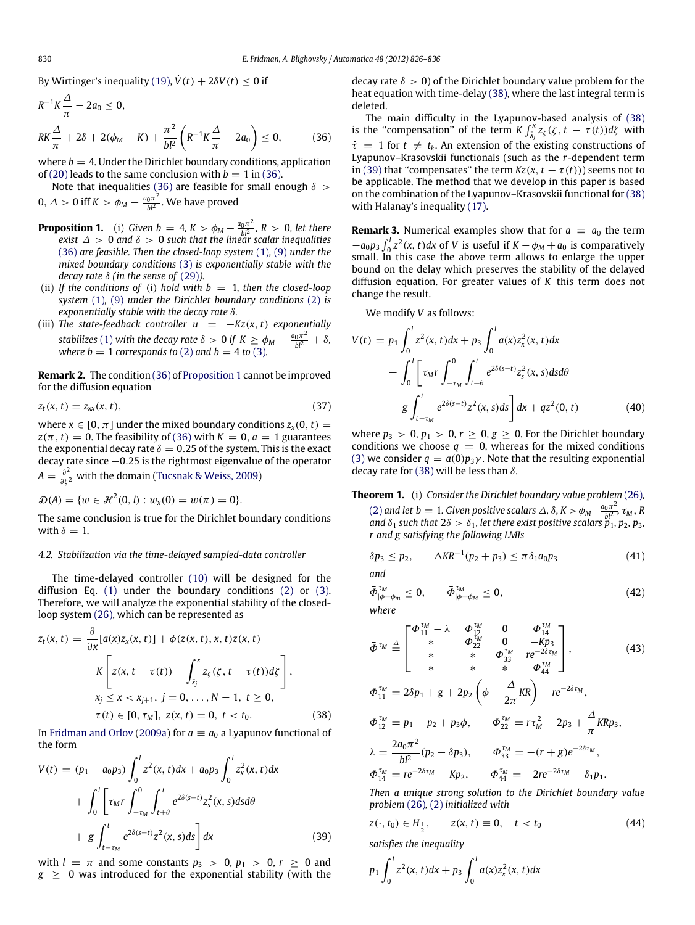By Wirtinger's inequality [\(19\),](#page-2-4)  $\dot{V}(t) + 2\delta V(t) \leq 0$  if

$$
R^{-1}K\frac{\Delta}{\pi} - 2a_0 \le 0,
$$
  
\n
$$
RK\frac{\Delta}{\pi} + 2\delta + 2(\phi_M - K) + \frac{\pi^2}{bl^2} \left( R^{-1}K\frac{\Delta}{\pi} - 2a_0 \right) \le 0,
$$
\n(36)

where  $b = 4$ . Under the Dirichlet boundary conditions, application of [\(20\)](#page-2-5) leads to the same conclusion with  $b = 1$  in [\(36\).](#page-4-1)

- Note that inequalities [\(36\)](#page-4-1) are feasible for small enough  $\delta$  > 0, Δ > 0 iff *K* >  $φ_M - \frac{a_0 π^2}{h^2}$  $\frac{0}{b l^2}$ . We have proved
- <span id="page-4-0"></span>**Proposition 1.** (i) *Given b* = 4,  $K > \phi_M - \frac{a_0 \pi^2}{h^2}$  $\frac{0^{\pi}}{bl^2}$ , R  $> 0$ , let there *exist*  $\Delta > 0$  *and*  $\delta > 0$  *such that the linear scalar inequalities* [\(36\)](#page-4-1) *are feasible. Then the closed-loop system* [\(1\)](#page-1-0)*,* [\(9\)](#page-1-7) *under the mixed boundary conditions* [\(3\)](#page-1-2) *is exponentially stable with the decay rate* δ *(in the sense of* [\(29\)](#page-3-3)*).*
- (ii) If the conditions of (i) hold with  $b = 1$ , then the closed-loop *system* [\(1\)](#page-1-0)*,* [\(9\)](#page-1-7) *under the Dirichlet boundary conditions* [\(2\)](#page-1-1) *is exponentially stable with the decay rate* δ*.*
- (iii) *The state-feedback controller*  $u = -Kz(x, t)$  *exponentially stabilizes* [\(1\)](#page-1-0) *with the decay rate*  $\delta > 0$  *if*  $K \ge \phi_M - \frac{a_0 \pi^2}{b l^2} + \delta$ , where  $b = 1$  *corresponds to* [\(2\)](#page-1-1) *and*  $b = 4$  *to* [\(3\)](#page-1-2)*.*

**Remark 2.** The condition [\(36\)](#page-4-1) of [Proposition 1](#page-4-0) cannot be improved for the diffusion equation

$$
z_t(x, t) = z_{xx}(x, t), \qquad (37)
$$

where  $x \in [0, \pi]$  under the mixed boundary conditions  $z_x(0, t) =$  $z(\pi, t) = 0$ . The feasibility of [\(36\)](#page-4-1) with  $K = 0$ ,  $a = 1$  guarantees the exponential decay rate  $\delta = 0.25$  of the system. This is the exact decay rate since −0.25 is the rightmost eigenvalue of the operator  $A=\frac{\partial^2}{\partial \xi^2}$  with the domain [\(Tucsnak](#page-9-25) [&](#page-9-25) [Weiss,](#page-9-25) [2009\)](#page-9-25)

$$
\mathcal{D}(A) = \{w \in \mathcal{H}^2(0, l) : w_x(0) = w(\pi) = 0\}.
$$

∂

The same conclusion is true for the Dirichlet boundary conditions with  $\delta = 1$ .

#### *4.2. Stabilization via the time-delayed sampled-data controller*

The time-delayed controller [\(10\)](#page-1-8) will be designed for the diffusion Eq. [\(1\)](#page-1-0) under the boundary conditions [\(2\)](#page-1-1) or [\(3\).](#page-1-2) Therefore, we will analyze the exponential stability of the closedloop system [\(26\),](#page-3-2) which can be represented as

$$
z_{t}(x, t) = \frac{\partial}{\partial x}[a(x)z_{x}(x, t)] + \phi(z(x, t), x, t)z(x, t)
$$
  

$$
-K\left[z(x, t - \tau(t)) - \int_{\bar{x}_{j}}^{x} z_{\zeta}(\zeta, t - \tau(t))d\zeta\right],
$$
  

$$
x_{j} \le x < x_{j+1}, j = 0, ..., N - 1, t \ge 0,
$$
  

$$
\tau(t) \in [0, \tau_{M}], z(x, t) = 0, t < t_{0}.
$$
 (38)

In [Fridman](#page-9-17) [and](#page-9-17) [Orlov](#page-9-17) [\(2009a\)](#page-9-17) for  $a \equiv a_0$  a Lyapunov functional of the form

$$
V(t) = (p_1 - a_0 p_3) \int_0^l z^2(x, t) dx + a_0 p_3 \int_0^l z_x^2(x, t) dx
$$
  
+ 
$$
\int_0^l \left[ \tau_M r \int_{-\tau_M}^0 \int_{t+\theta}^t e^{2\delta(s-t)} z_s^2(x, s) ds d\theta \right]
$$
  
+ 
$$
g \int_{t-\tau_M}^t e^{2\delta(s-t)} z^2(x, s) ds \right] dx
$$
 (39)

with  $l = \pi$  and some constants  $p_3 > 0$ ,  $p_1 > 0$ ,  $r \ge 0$  and  $g \geq 0$  was introduced for the exponential stability (with the decay rate  $\delta > 0$ ) of the Dirichlet boundary value problem for the heat equation with time-delay [\(38\),](#page-4-2) where the last integral term is deleted.

<span id="page-4-1"></span>The main difficulty in the Lyapunov-based analysis of [\(38\)](#page-4-2) is the "compensation" of the term  $K \int_{\bar{x}_j}^{x} z_{\zeta}(\zeta, t - \tau(t)) d\zeta$  with  $\dot{\tau} = 1$  for  $t \neq t_k$ . An extension of the existing constructions of Lyapunov–Krasovskii functionals (such as the *r*-dependent term in [\(39\)](#page-4-3) that "compensates" the term  $Kz(x, t - \tau(t))$ ) seems not to be applicable. The method that we develop in this paper is based on the combination of the Lyapunov–Krasovskii functional for [\(38\)](#page-4-2) with Halanay's inequality [\(17\).](#page-2-6)

**Remark 3.** Numerical examples show that for  $a \equiv a_0$  the term  $-a_0 p_3 \int_0^l z^2(x, t) dx$  of *V* is useful if  $K - \phi_M + a_0$  is comparatively  $\frac{10}{2}$  s  $\frac{1}{20}$  c (ii, e) at 5 c  $\frac{1}{2}$  is determined by  $\frac{1}{2}$  multiple comparatively small. In this case the above term allows to enlarge the upper bound on the delay which preserves the stability of the delayed diffusion equation. For greater values of *K* this term does not change the result.

<span id="page-4-8"></span>We modify *V* as follows:

$$
V(t) = p_1 \int_0^l z^2(x, t) dx + p_3 \int_0^l a(x) z_x^2(x, t) dx
$$
  
+ 
$$
\int_0^l \left[ \tau_M r \int_{-\tau_M}^0 \int_{t+\theta}^t e^{2\delta(s-t)} z_s^2(x, s) ds d\theta \right]
$$
  
+ 
$$
g \int_{t-\tau_M}^t e^{2\delta(s-t)} z^2(x, s) ds \right] dx + qz^2(0, t)
$$
(40)

where  $p_3 > 0$ ,  $p_1 > 0$ ,  $r \ge 0$ ,  $g \ge 0$ . For the Dirichlet boundary conditions we choose  $q = 0$ , whereas for the mixed conditions [\(3\)](#page-1-2) we consider  $q = a(0)p_3\gamma$ . Note that the resulting exponential decay rate for [\(38\)](#page-4-2) will be less than  $\delta$ .

## **Theorem 1.** (i) *Consider the Dirichlet boundary value problem* [\(26\)](#page-3-2)*,*

<span id="page-4-9"></span>[\(2\)](#page-1-1) and let *b* = 1. Given positive scalars Δ, δ, K >  $φ_M - \frac{a_0 π^2}{b^2}$  $\frac{1}{b^{2}}$ ,  $\tau_{M}$ , *R* and  $\delta_1$  *such that*  $2\delta > \delta_1$ *, let there exist positive scalars*  $p_1$ *, p*<sub>2</sub>*, p*<sub>3</sub>*, r and g satisfying the following LMIs*

<span id="page-4-4"></span>
$$
\delta p_3 \le p_2, \qquad \Delta KR^{-1}(p_2 + p_3) \le \pi \delta_1 a_0 p_3 \tag{41}
$$

<span id="page-4-6"></span>
$$
\bar{\Phi}_{|\phi=\phi_m}^{\tau_M} \leq 0, \qquad \bar{\Phi}_{|\phi=\phi_M}^{\tau_M} \leq 0,
$$
\n(42)

*where*

<span id="page-4-5"></span>
$$
\bar{\phi}^{\tau_{M}} \stackrel{\Delta}{=} \begin{bmatrix} \Phi_{11}^{\tau_{M}} - \lambda & \Phi_{12}^{\tau_{M}} & 0 & \Phi_{14}^{\tau_{M}} \\ * & \Phi_{22}^{\tau_{M}} & 0 & -Kp_{3} \\ * & * & \Phi_{33}^{\tau_{M}} & re^{-2\delta\tau_{M}} \\ * & * & * & \Phi_{44}^{\tau_{M}} \end{bmatrix}, \qquad (43)
$$
\n
$$
\Phi_{11}^{\tau_{M}} = 2\delta p_{1} + g + 2p_{2} \left( \phi + \frac{\Delta}{2\pi} KR \right) - re^{-2\delta\tau_{M}},
$$
\n
$$
\Phi_{12}^{\tau_{M}} = p_{1} - p_{2} + p_{3}\phi, \qquad \Phi_{22}^{\tau_{M}} = r\tau_{M}^{2} - 2p_{3} + \frac{\Delta}{\pi} KRp_{3},
$$
\n
$$
\lambda = \frac{2a_{0}\pi^{2}}{bl^{2}} (p_{2} - \delta p_{3}), \qquad \Phi_{33}^{\tau_{M}} = -(r + g)e^{-2\delta\tau_{M}},
$$
\n
$$
\Phi_{14}^{\tau_{M}} = re^{-2\delta\tau_{M}} - Kp_{2}, \qquad \Phi_{44}^{\tau_{M}} = -2re^{-2\delta\tau_{M}} - \delta_{1}p_{1}.
$$

<span id="page-4-2"></span>*Then a unique strong solution to the Dirichlet boundary value problem* [\(26\)](#page-3-2)*,* [\(2\)](#page-1-1) *initialized with*

<span id="page-4-7"></span><span id="page-4-3"></span>
$$
z(\cdot, t_0) \in H_{\frac{1}{2}}, \qquad z(x, t) \equiv 0, \quad t < t_0 \tag{44}
$$

*satisfies the inequality*

$$
p_1 \int_0^l z^2(x, t) dx + p_3 \int_0^l a(x) z_x^2(x, t) dx
$$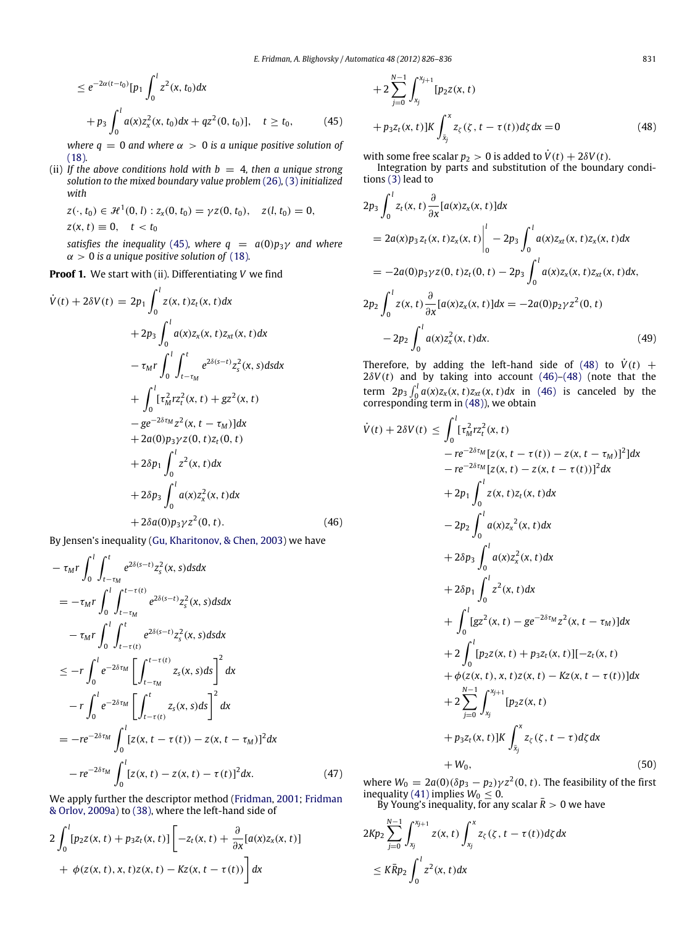$$
\leq e^{-2\alpha(t-t_0)}[p_1 \int_0^l z^2(x, t_0) dx + p_3 \int_0^l a(x) z_x^2(x, t_0) dx + qz^2(0, t_0)], \quad t \geq t_0,
$$
 (45)

*where*  $q = 0$  *and where*  $\alpha > 0$  *is a unique positive solution of* [\(18\)](#page-2-7)*.*

(ii) If the above conditions hold with  $b = 4$ , then a unique strong *solution to the mixed boundary value problem* [\(26\)](#page-3-2)*,* [\(3\)](#page-1-2) *initialized with*

$$
z(\cdot, t_0) \in \mathcal{H}^1(0, l) : z_x(0, t_0) = \gamma z(0, t_0), \quad z(l, t_0) = 0,
$$
  

$$
z(x, t) \equiv 0, \quad t < t_0
$$

*satisfies the inequality* [\(45\)](#page-5-0)*, where*  $q = a(0)p_3\gamma$  *and where*  $\alpha > 0$  *is a unique positive solution of* [\(18\)](#page-2-7).

**Proof 1.** We start with (ii). Differentiating *V* we find

$$
\dot{V}(t) + 2\delta V(t) = 2p_1 \int_0^l z(x, t)z_t(x, t)dx \n+ 2p_3 \int_0^l a(x)z_x(x, t)z_{xt}(x, t)dx \n- \tau_M r \int_0^l \int_{t-\tau_M}^t e^{2\delta(s-t)}z_s^2(x, s)dsdx \n+ \int_0^l [\tau_M^2 rz_t^2(x, t) + gz^2(x, t) \n- ge^{-2\delta\tau_M}z^2(x, t - \tau_M)]dx \n+ 2a(0)p_3\gamma z(0, t)z_t(0, t) \n+ 2\delta p_1 \int_0^l z^2(x, t)dx \n+ 2\delta p_3 \int_0^l a(x)z_x^2(x, t)dx \n+ 2\delta a(0)p_3\gamma z^2(0, t).
$$
\n(46)

By Jensen's inequality [\(Gu,](#page-9-28) [Kharitonov,](#page-9-28) [&](#page-9-28) [Chen,](#page-9-28) [2003\)](#page-9-28) we have

$$
- \tau_{M} r \int_{0}^{l} \int_{t-\tau_{M}}^{t} e^{2\delta(s-t)} z_{s}^{2}(x, s) ds dx
$$
  
\n
$$
= - \tau_{M} r \int_{0}^{l} \int_{t-\tau_{M}}^{t-\tau(t)} e^{2\delta(s-t)} z_{s}^{2}(x, s) ds dx
$$
  
\n
$$
- \tau_{M} r \int_{0}^{l} \int_{t-\tau(t)}^{t} e^{2\delta(s-t)} z_{s}^{2}(x, s) ds dx
$$
  
\n
$$
\leq -r \int_{0}^{l} e^{-2\delta\tau_{M}} \left[ \int_{t-\tau_{M}}^{t-\tau(t)} z_{s}(x, s) ds \right]^{2} dx
$$
  
\n
$$
- r \int_{0}^{l} e^{-2\delta\tau_{M}} \left[ \int_{t-\tau(t)}^{t} z_{s}(x, s) ds \right]^{2} dx
$$
  
\n
$$
= -re^{-2\delta\tau_{M}} \int_{0}^{l} [z(x, t-\tau(t)) - z(x, t-\tau_{M})]^{2} dx
$$
  
\n
$$
- re^{-2\delta\tau_{M}} \int_{0}^{l} [z(x, t) - z(x, t) - \tau(t)]^{2} dx.
$$
 (47)

We apply further the descriptor method [\(Fridman,](#page-9-29) [2001;](#page-9-29) [Fridman](#page-9-17) [&](#page-9-17) [Orlov,](#page-9-17) [2009a\)](#page-9-17) to [\(38\),](#page-4-2) where the left-hand side of

$$
2\int_0^l [p_2z(x,t) + p_3z_t(x,t)] \left[ -z_t(x,t) + \frac{\partial}{\partial x} [a(x)z_x(x,t)] + \phi(z(x,t),x,t)z(x,t) - Kz(x,t-\tau(t)) \right] dx
$$

<span id="page-5-1"></span><span id="page-5-0"></span>
$$
+2\sum_{j=0}^{N-1} \int_{x_j}^{x_{j+1}} [p_2 z(x, t) + p_3 z_t(x, t)] K \int_{\bar{x}_j}^{x} z_{\zeta}(\zeta, t - \tau(t)) d\zeta dx = 0
$$
\n(48)

with some free scalar  $p_2 > 0$  is added to  $\dot{V}(t) + 2\delta V(t)$ .

Integration by parts and substitution of the boundary conditions [\(3\)](#page-1-2) lead to

$$
2p_3 \int_0^l z_t(x, t) \frac{\partial}{\partial x} [a(x)z_x(x, t)] dx
$$
  
=  $2a(x)p_3 z_t(x, t)z_x(x, t) \Big|_0^l - 2p_3 \int_0^l a(x)z_{xt}(x, t)z_x(x, t) dx$   
=  $-2a(0)p_3\gamma z(0, t)z_t(0, t) - 2p_3 \int_0^l a(x)z_x(x, t)z_{xt}(x, t) dx$ ,  

$$
2p_2 \int_0^l z(x, t) \frac{\partial}{\partial x} [a(x)z_x(x, t)] dx = -2a(0)p_2\gamma z^2(0, t)
$$
  
 $- 2p_2 \int_0^l a(x)z_x^2(x, t) dx.$  (49)

Therefore, by adding the left-hand side of [\(48\)](#page-5-1) to  $\dot{V}(t)$  +  $2\delta V(t)$  and by taking into account  $(46)-(48)$  $(46)-(48)$  (note that the term  $2p_3 \int_0^l a(x)z_x(x,t)z_{xt}(x,t)dx$  in [\(46\)](#page-5-2) is canceled by the corresponding term in [\(48\)\)](#page-5-1), we obtain

<span id="page-5-2"></span>
$$
\dot{V}(t) + 2\delta V(t) \leq \int_{0}^{1} [\tau_{M}^{2} \tau_{\ell}^{2}(x, t) -re^{-2\delta \tau_{M}} [z(x, t - \tau(t)) - z(x, t - \tau_{M})]^{2}]dx \n- re^{-2\delta \tau_{M}} [z(x, t) - z(x, t - \tau(t))]^{2} dx \n+ 2p_{1} \int_{0}^{1} z(x, t) z_{t}(x, t) dx \n- 2p_{2} \int_{0}^{1} a(x) z_{x}^{2}(x, t) dx \n+ 2\delta p_{3} \int_{0}^{1} a(x) z_{x}^{2}(x, t) dx \n+ 2\delta p_{1} \int_{0}^{1} z^{2}(x, t) dx \n+ \int_{0}^{1} [gz^{2}(x, t) - ge^{-2\delta \tau_{M}} z^{2}(x, t - \tau_{M})] dx \n+ 2 \int_{0}^{1} [p_{2}z(x, t) + p_{3}z_{t}(x, t)][-z_{t}(x, t) + \phi(z(x, t), x, t)z(x, t) - Kz(x, t - \tau(t))] dx \n+ 2 \sum_{j=0}^{N-1} \int_{x_{j}}^{x_{j+1}} [p_{2}z(x, t) + p_{3}z_{t}(x, t)]^{2} dx \n+ p_{3}z_{t}(x, t)]K \int_{\bar{x}_{j}}^{x} z_{\zeta}(\zeta, t - \tau) d\zeta dx
$$

<span id="page-5-3"></span> $+ W_0,$  (50)

where  $W_0 = 2a(0)(\delta p_3 - p_2)\gamma z^2(0, t)$ . The feasibility of the first inequality [\(41\)](#page-4-4) implies  $W_0 \leq 0$ . By Young's inequality, for any scalar  $\bar{R} > 0$  we have

$$
2Kp_2 \sum_{j=0}^{N-1} \int_{x_j}^{x_{j+1}} z(x, t) \int_{x_j}^{x} z_{\zeta}(\zeta, t - \tau(t)) d\zeta dx
$$
  
 
$$
\leq K\bar{R}p_2 \int_0^l z^2(x, t) dx
$$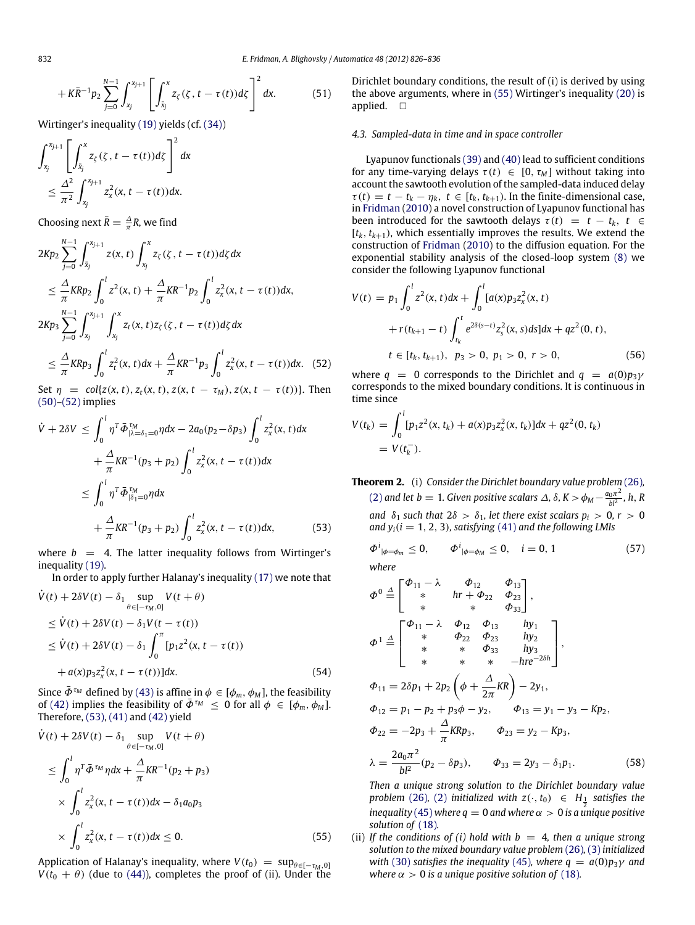$$
+ K \bar{R}^{-1} p_2 \sum_{j=0}^{N-1} \int_{x_j}^{x_{j+1}} \left[ \int_{\bar{x}_j}^{x} z_{\zeta}(\zeta, t - \tau(t)) d\zeta \right]^2 dx.
$$
 (51)

Wirtinger's inequality [\(19\)](#page-2-4) yields (cf. [\(34\)\)](#page-3-5)

$$
\int_{x_j}^{x_{j+1}} \left[ \int_{\bar{x}_j}^x z_\zeta(\zeta, t - \tau(t)) d\zeta \right]^2 dx
$$
  
 
$$
\leq \frac{\Delta^2}{\pi^2} \int_{x_j}^{x_{j+1}} z_x^2(x, t - \tau(t)) dx.
$$

Choosing next  $\bar{R} = \frac{\Delta}{\pi}R$ , we find

$$
2Kp_2 \sum_{j=0}^{N-1} \int_{\bar{x}_j}^{x_{j+1}} z(x, t) \int_{x_j}^{x} z_{\zeta}(\zeta, t - \tau(t)) d\zeta dx
$$
  
\n
$$
\leq \frac{\Delta}{\pi} KRp_2 \int_0^l z^2(x, t) + \frac{\Delta}{\pi} K R^{-1}p_2 \int_0^l z_x^2(x, t - \tau(t)) dx,
$$
  
\n
$$
2Kp_3 \sum_{j=0}^{N-1} \int_{x_j}^{x_{j+1}} \int_{x_j}^{x} z_t(x, t) z_{\zeta}(\zeta, t - \tau(t)) d\zeta dx
$$
  
\n
$$
\leq \frac{\Delta}{\pi} KRp_3 \int_0^l z_t^2(x, t) dx + \frac{\Delta}{\pi} K R^{-1}p_3 \int_0^l z_x^2(x, t - \tau(t)) dx. (52)
$$

Set  $\eta = col\{z(x, t), z_t(x, t), z(x, t - \tau_M), z(x, t - \tau(t))\}$ . Then [\(50\)](#page-5-3)[–\(52\)](#page-6-0) implies

$$
\dot{V} + 2\delta V \leq \int_0^l \eta^T \bar{\Phi}_{|\lambda=\delta_1=0}^{\tau_M} \eta dx - 2a_0(p_2 - \delta p_3) \int_0^l z_x^2(x, t) dx \n+ \frac{\Delta}{\pi} KR^{-1}(p_3 + p_2) \int_0^l z_x^2(x, t - \tau(t)) dx \n\leq \int_0^l \eta^T \bar{\Phi}_{|\delta_1=0}^{\tau_M} \eta dx \n+ \frac{\Delta}{\pi} KR^{-1}(p_3 + p_2) \int_0^l z_x^2(x, t - \tau(t)) dx,
$$
\n(53)

where  $b = 4$ . The latter inequality follows from Wirtinger's inequality [\(19\).](#page-2-4)

In order to apply further Halanay's inequality [\(17\)](#page-2-6) we note that

$$
\dot{V}(t) + 2\delta V(t) - \delta_1 \sup_{\theta \in [-\tau_M, 0]} V(t + \theta)
$$
\n
$$
\leq \dot{V}(t) + 2\delta V(t) - \delta_1 V(t - \tau(t))
$$
\n
$$
\leq \dot{V}(t) + 2\delta V(t) - \delta_1 \int_0^{\pi} [p_1 z^2(x, t - \tau(t))
$$
\n
$$
+ a(x)p_3 z_x^2(x, t - \tau(t))]dx.
$$
\n(54)

Since  $\bar{\Phi}^{\tau_M}$  defined by [\(43\)](#page-4-5) is affine in  $\phi\in[\phi_m,\phi_M]$ , the feasibility of [\(42\)](#page-4-6) implies the feasibility of  $\bar{\Phi}^{\tau_M} \leq 0$  for all  $\phi \in [\phi_m, \phi_M]$ . Therefore, [\(53\),](#page-6-1) [\(41\)](#page-4-4) and [\(42\)](#page-4-6) yield

$$
\dot{V}(t) + 2\delta V(t) - \delta_1 \sup_{\theta \in [-\tau_M, 0]} V(t + \theta)
$$
\n
$$
\leq \int_0^l \eta^T \bar{\Phi}^{\tau_M} \eta dx + \frac{\Delta}{\pi} K R^{-1} (p_2 + p_3)
$$
\n
$$
\times \int_0^l z_x^2(x, t - \tau(t)) dx - \delta_1 a_0 p_3
$$
\n
$$
\times \int_0^l z_x^2(x, t - \tau(t)) dx \leq 0.
$$
\n(55)

Application of Halanay's inequality, where  $V(t_0) = \sup_{\theta \in [-\tau_M, 0]}$  $V(t_0 + \theta)$  (due to [\(44\)\)](#page-4-7), completes the proof of (ii). Under the Dirichlet boundary conditions, the result of (i) is derived by using the above arguments, where in [\(55\)](#page-6-2) Wirtinger's inequality [\(20\)](#page-2-5) is applied.  $\square$ 

#### *4.3. Sampled-data in time and in space controller*

Lyapunov functionals [\(39\)](#page-4-3) and [\(40\)](#page-4-8) lead to sufficient conditions for any time-varying delays  $\tau(t) \in [0, \tau_M]$  without taking into account the sawtooth evolution of the sampled-data induced delay  $\tau(t) = t - t_k - \eta_k$ ,  $t \in [t_k, t_{k+1})$ . In the finite-dimensional case, in [Fridman](#page-9-10) [\(2010\)](#page-9-10) a novel construction of Lyapunov functional has been introduced for the sawtooth delays  $\tau(t) = t - t_k$ ,  $t \in$  $[t_k, t_{k+1})$ , which essentially improves the results. We extend the construction of [Fridman](#page-9-10) [\(2010\)](#page-9-10) to the diffusion equation. For the exponential stability analysis of the closed-loop system [\(8\)](#page-1-9) we consider the following Lyapunov functional

$$
V(t) = p_1 \int_0^l z^2(x, t) dx + \int_0^l [a(x)p_3 z_x^2(x, t) + r(t_{k+1} - t) \int_{t_k}^t e^{2\delta(s-t)} z_s^2(x, s) ds] dx + qz^2(0, t),
$$
  
 $t \in [t_k, t_{k+1}), \quad p_3 > 0, \quad p_1 > 0, \quad r > 0,$  (56)

<span id="page-6-0"></span>where  $q = 0$  corresponds to the Dirichlet and  $q = a(0)p_3\gamma$ corresponds to the mixed boundary conditions. It is continuous in time since

$$
V(t_k) = \int_0^l [p_1 z^2(x, t_k) + a(x) p_3 z_x^2(x, t_k)] dx + q z^2(0, t_k)
$$
  
=  $V(t_k^-).$ 

<span id="page-6-5"></span><span id="page-6-1"></span>**Theorem 2.** (i) *Consider the Dirichlet boundary value problem* [\(26\)](#page-3-2)*,* [\(2\)](#page-1-1) and let *b* = 1. Given positive scalars Δ, δ,  $K > φ_M - \frac{a_0 π^2}{h^2}$  $\frac{0^{\pi}}{bl^2}$ , h, R *and*  $\delta_1$  *such that*  $2\delta > \delta_1$ *, let there exist scalars*  $p_i > 0$ *, r > 0 and*  $y_i$ ( $i = 1, 2, 3$ ), *satisfying* [\(41\)](#page-4-4) *and the following LMIs* 

<span id="page-6-3"></span>
$$
\Phi^i_{|\phi=\phi_m} \le 0, \qquad \Phi^i_{|\phi=\phi_M} \le 0, \quad i=0,1
$$
\nwhere

$$
\Phi^{0} \stackrel{\Delta}{=} \begin{bmatrix} \Phi_{11} - \lambda & \Phi_{12} & \Phi_{13} \\ * & hr + \Phi_{22} & \Phi_{23} \\ * & * & \Phi_{33} \end{bmatrix},
$$
\n
$$
\Phi^{1} \stackrel{\Delta}{=} \begin{bmatrix} \Phi_{11} - \lambda & \Phi_{12} & \Phi_{13} & hy_1 \\ * & \Phi_{22} & \Phi_{23} & hy_2 \\ * & * & \Phi_{33} & hy_3 \\ * & * & * & -hre^{-2\delta h} \end{bmatrix},
$$
\n
$$
\Phi_{11} = 2\delta p_1 + 2p_2 \left( \phi + \frac{\Delta}{2\pi} KR \right) - 2y_1,
$$
\n
$$
\Phi_{12} = p_1 - p_2 + p_3\phi - y_2, \quad \Phi_{13} = y_1 - y_3 - Kp_2,
$$
\n
$$
\Phi_{22} = -2p_3 + \frac{\Delta}{\pi} KRp_3, \quad \Phi_{23} = y_2 - Kp_3,
$$
\n
$$
\lambda = \frac{2a_0\pi^2}{bl^2} (p_2 - \delta p_3), \quad \Phi_{33} = 2y_3 - \delta_1 p_1.
$$
\n(58)

<span id="page-6-4"></span>*Then a unique strong solution to the Dirichlet boundary value problem* [\(26\)](#page-3-2), [\(2\)](#page-1-1) *initialized with*  $z(\cdot, t_0) \in H_{\frac{1}{2}}$  *satisfies the*  $\alpha$  *inequality* [\(45\)](#page-5-0) where  $q=0$  and where  $\alpha>0$  is a unique positive *solution of* [\(18\)](#page-2-7)*.*

<span id="page-6-2"></span>(ii) If the conditions of (i) hold with  $b = 4$ , then a unique strong *solution to the mixed boundary value problem* [\(26\)](#page-3-2)*,* [\(3\)](#page-1-2) *initialized with* [\(30\)](#page-3-6) *satisfies the inequality* [\(45\)](#page-5-0)*, where*  $q = a(0)p_3\gamma$  *and where*  $\alpha > 0$  *is a unique positive solution of* [\(18\)](#page-2-7).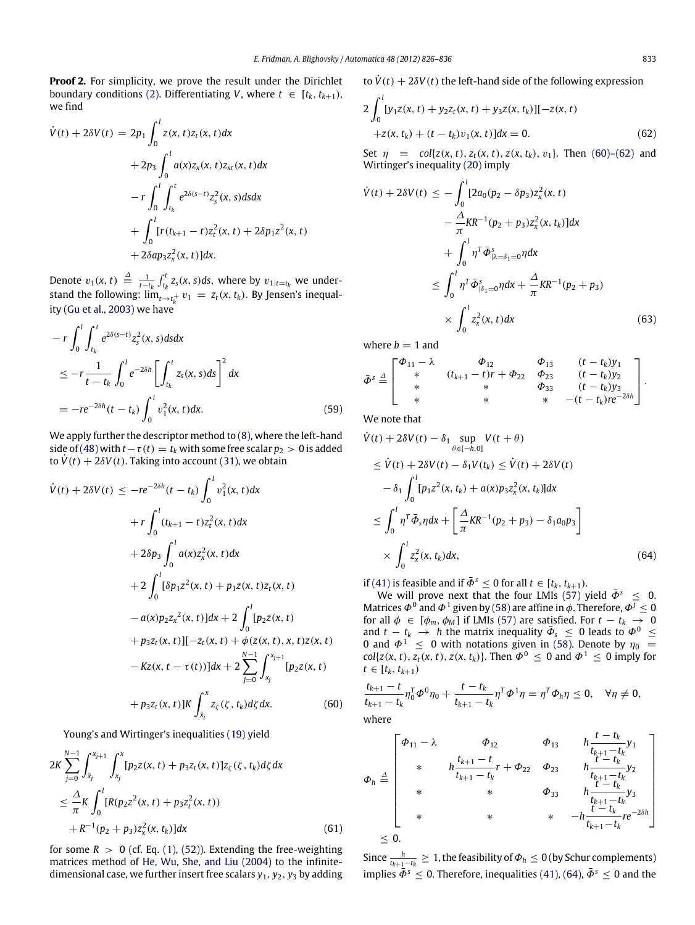**Proof 2.** For simplicity, we prove the result under the Dirichlet boundary conditions [\(2\).](#page-1-1) Differentiating *V*, where  $t \in [t_k, t_{k+1})$ , we find

$$
\dot{V}(t) + 2\delta V(t) = 2p_1 \int_0^l z(x, t)z_t(x, t)dx \n+ 2p_3 \int_0^l a(x)z_x(x, t)z_{xt}(x, t)dx \n- r \int_0^l \int_{t_k}^t e^{2\delta(s-t)}z_s^2(x, s)dsdx \n+ \int_0^l [r(t_{k+1} - t)z_t^2(x, t) + 2\delta p_1 z^2(x, t) \n+ 2\delta ap_3 z_x^2(x, t)]dx.
$$

Denote  $v_1(x, t) \triangleq \frac{1}{t-t_k} \int_{t_k}^t z_s(x, s) ds$ , where by  $v_1|_{t=t_k}$  we understand the following:  $\lim_{t \to t_k^+} v_1 = z_t(x, t_k)$ . By Jensen's inequality [\(Gu](#page-9-28) [et al.,](#page-9-28) [2003\)](#page-9-28) we have

$$
-r \int_{0}^{l} \int_{t_{k}}^{t} e^{2\delta(s-t)} z_{s}^{2}(x, s) ds dx
$$
  
\n
$$
\leq -r \frac{1}{t - t_{k}} \int_{0}^{l} e^{-2\delta h} \left[ \int_{t_{k}}^{t} z_{s}(x, s) ds \right]^{2} dx
$$
  
\n
$$
= -re^{-2\delta h} (t - t_{k}) \int_{0}^{l} v_{1}^{2}(x, t) dx.
$$
\n(59)

We apply further the descriptor method to [\(8\),](#page-1-9) where the left-hand side of [\(48\)](#page-5-1) with  $t - \tau(t) = t_k$  with some free scalar  $p_2 > 0$  is added to  $\dot{V}(t) + 2\delta V(t)$ . Taking into account [\(31\),](#page-3-7) we obtain

$$
\dot{V}(t) + 2\delta V(t) \le -re^{-2\delta h}(t - t_k) \int_0^1 v_1^2(x, t) dx
$$
  
+  $r \int_0^1 (t_{k+1} - t)z_t^2(x, t) dx$   
+  $2\delta p_3 \int_0^1 a(x)z_x^2(x, t) dx$   
+  $2 \int_0^1 [\delta p_1 z^2(x, t) + p_1 z(x, t) z_t(x, t)$   
-  $a(x)p_2 z_x^2(x, t) dx + 2 \int_0^1 [p_2 z(x, t)$   
+  $p_3 z_t(x, t) [[-z_t(x, t) + \phi(z(x, t), x, t) z(x, t)$   
-  $Kz(x, t - \tau(t))] dx + 2 \sum_{j=0}^{N-1} \int_{x_j}^{x_{j+1}} [p_2 z(x, t)$   
+  $p_3 z_t(x, t)] K \int_{x_j}^x z_{\zeta}(\zeta, t_k) d\zeta dx.$  (60)

Young's and Wirtinger's inequalities [\(19\)](#page-2-4) yield

$$
2K \sum_{j=0}^{N-1} \int_{\bar{x}_j}^{x_{j+1}} \int_{x_j}^{x} [p_2 z(x, t) + p_3 z_t(x, t)] z_{\zeta}(\zeta, t_k) d\zeta dx
$$
  
\n
$$
\leq \frac{\Delta}{\pi} K \int_0^l [R(p_2 z^2(x, t) + p_3 z_t^2(x, t))
$$
  
\n
$$
+ R^{-1}(p_2 + p_3) z_x^2(x, t_k)] dx
$$
\n(61)

for some  $R > 0$  (cf. Eq. [\(1\),](#page-1-0) [\(52\)\)](#page-6-0). Extending the free-weighting matrices method of [He,](#page-9-30) [Wu,](#page-9-30) [She,](#page-9-30) [and](#page-9-30) [Liu](#page-9-30) [\(2004\)](#page-9-30) to the infinitedimensional case, we further insert free scalars  $y_1$ ,  $y_2$ ,  $y_3$  by adding to  $\dot{V}(t) + 2\delta V(t)$  the left-hand side of the following expression

$$
2\int_0^1 [y_1 z(x, t) + y_2 z_t(x, t) + y_3 z(x, t_k)][-z(x, t)+z(x, t_k) + (t - t_k)v_1(x, t)]dx = 0.
$$
 (62)

<span id="page-7-1"></span>Set  $\eta$  =  $col{z(x, t), z_t(x, t), z(x, t_k), v_1}$ . Then [\(60\)–](#page-7-0)[\(62\)](#page-7-1) and Wirtinger's inequality [\(20\)](#page-2-5) imply

$$
\dot{V}(t) + 2\delta V(t) \le -\int_0^l [2a_0(p_2 - \delta p_3)z_x^2(x, t) -\frac{\Delta}{\pi}KR^{-1}(p_2 + p_3)z_x^2(x, t_k)]dx \n+ \int_0^l \eta^T \bar{\Phi}_{|\lambda = \delta_1 = 0}^s \eta dx \n\le \int_0^l \eta^T \bar{\Phi}_{|\delta_1 = 0}^s \eta dx + \frac{\Delta}{\pi} KR^{-1}(p_2 + p_3) \n\times \int_0^l z_x^2(x, t) dx
$$
\n(63)

where  $b = 1$  and

$$
\bar{\varPhi}^{s} \stackrel{\Delta}{=} \begin{bmatrix} \Phi_{11} - \lambda & \Phi_{12} & \Phi_{13} & (t - t_k)y_1 \\ * & (t_{k+1} - t)r + \Phi_{22} & \Phi_{23} & (t - t_k)y_2 \\ * & * & \Phi_{33} & (t - t_k)y_3 \\ * & * & * & -(t - t_k)re^{-2\delta h} \end{bmatrix}.
$$

We note that

$$
\dot{V}(t) + 2\delta V(t) - \delta_1 \sup_{\theta \in [-h,0]} V(t + \theta)
$$
\n
$$
\leq \dot{V}(t) + 2\delta V(t) - \delta_1 V(t_k) \leq \dot{V}(t) + 2\delta V(t)
$$
\n
$$
- \delta_1 \int_0^l [p_1 z^2(x, t_k) + a(x) p_3 z_x^2(x, t_k)] dx
$$
\n
$$
\leq \int_0^l \eta^T \bar{\Phi}_s \eta dx + \left[ \frac{\Delta}{\pi} K R^{-1} (p_2 + p_3) - \delta_1 a_0 p_3 \right]
$$
\n
$$
\times \int_0^l z_x^2(x, t_k) dx,
$$
\n(64)

<span id="page-7-2"></span>if [\(41\)](#page-4-4) is feasible and if  $\bar{\Phi}^s \leq 0$  for all  $t \in [t_k, t_{k+1})$ .

We will prove next that the four LMIs  $(57)$  yield  $\bar{\Phi}^s \leq 0$ . Matrices  $\Phi^0$  and  $\Phi^1$  given by [\(58\)](#page-6-4) are affine in  $\phi$ . Therefore,  $\Phi^j \leq 0$ for all  $\phi \in [\phi_m, \phi_M]$  if LMIs [\(57\)](#page-6-3) are satisfied. For  $t - t_k \to 0$ and  $t - t_k \rightarrow h$  the matrix inequality  $\bar{\phi}_s \leq 0$  leads to  $\phi^0 \leq$ 0 and  $\Phi^1 \leq 0$  with notations given in [\(58\).](#page-6-4) Denote by  $\eta_0 =$  $col{z(x, t), z_t(x, t), z(x, t_k)}$ . Then  $\Phi^0 \le 0$  and  $\Phi^1 \le 0$  imply for  $t ∈ [t_k, t_{k+1})$ 

<span id="page-7-0"></span>
$$
\frac{t_{k+1} - t}{t_{k+1} - t_k} \eta_0^T \Phi^0 \eta_0 + \frac{t - t_k}{t_{k+1} - t_k} \eta^T \Phi^1 \eta = \eta^T \Phi_h \eta \le 0, \quad \forall \eta \ne 0,
$$

where

$$
\Phi_h \stackrel{\text{d}}{=} \begin{bmatrix}\n\Phi_{11} - \lambda & \Phi_{12} & \Phi_{13} & h \frac{t - t_k}{t_{k+1} - t_k} y_1 \\
\ast & h \frac{t_{k+1} - t}{t_{k+1} - t_k} r + \Phi_{22} & \Phi_{23} & h \frac{t - t_k}{t_{k+1} - t_k} y_2 \\
\ast & \ast & \Phi_{33} & h \frac{t - t_k}{t_{k+1} - t_k} y_3 \\
\ast & \ast & \ast & -h \frac{t - t_k}{t_{k+1} - t_k} r e^{-2\delta h} \\
\leq 0.\n\end{bmatrix}
$$

Since  $\frac{h}{t_{k+1}-t_k} \geq 1$ , the feasibility of  $\Phi_h \leq 0$  (by Schur complements) implies  $\bar{\phi}^s \leq 0$ . Therefore, inequalities [\(41\),](#page-4-4) [\(64\),](#page-7-2)  $\bar{\phi}^s \leq 0$  and the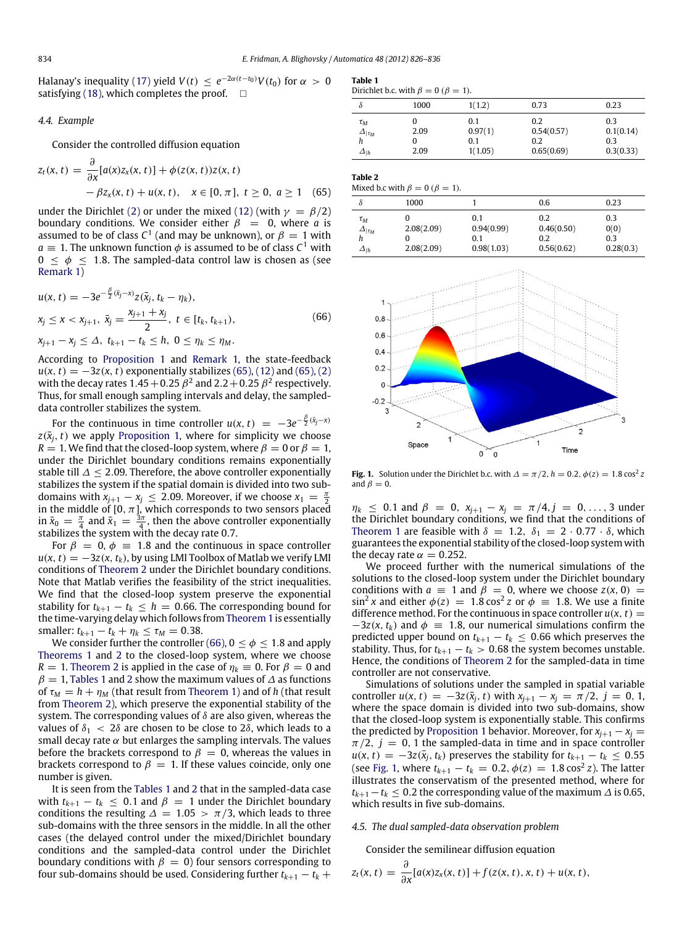Halanay's inequality [\(17\)](#page-2-6) yield  $V(t) \leq e^{-2\alpha(t-t_0)}V(t_0)$  for  $\alpha > 0$ satisfying [\(18\),](#page-2-7) which completes the proof.  $\square$ 

#### *4.4. Example*

Consider the controlled diffusion equation

$$
z_t(x, t) = \frac{\partial}{\partial x} [a(x)z_x(x, t)] + \phi(z(x, t))z(x, t)
$$
  
-  $\beta z_x(x, t) + u(x, t), \quad x \in [0, \pi], t \ge 0, a \ge 1$  (65)

under the Dirichlet [\(2\)](#page-1-1) or under the mixed [\(12\)](#page-2-8) (with  $\gamma = \beta/2$ ) boundary conditions. We consider either  $\beta = 0$ , where *a* is assumed to be of class  $C^1$  (and may be unknown), or  $\beta\,=\,1$  with  $a \equiv 1$ . The unknown function  $\phi$  is assumed to be of class  $C^1$  with  $0 \leq \phi \leq 1.8$ . The sampled-data control law is chosen as (see [Remark 1\)](#page-1-10)

$$
u(x, t) = -3e^{-\frac{\beta}{2}(\bar{x}_j - x)} z(\bar{x}_j, t_k - \eta_k),
$$
  
\n
$$
x_j \le x < x_{j+1}, \ \bar{x}_j = \frac{x_{j+1} + x_j}{2}, \ t \in [t_k, t_{k+1}),
$$
  
\n
$$
x_{j+1} - x_j \le \Delta, \ t_{k+1} - t_k \le h, \ 0 \le \eta_k \le \eta_M.
$$
\n(66)

According to [Proposition 1](#page-4-0) and [Remark 1,](#page-1-10) the state-feedback  $u(x, t) = -3z(x, t)$  exponentially stabilizes [\(65\),](#page-8-0) [\(12\)](#page-2-8) and (65), [\(2\)](#page-1-1) with the decay rates 1.45  $+$  0.25  $\beta^2$  and 2.2  $+$  0.25  $\beta^2$  respectively. Thus, for small enough sampling intervals and delay, the sampleddata controller stabilizes the system.

For the continuous in time controller  $u(x, t) = -3e^{-\frac{\beta}{2}(\bar{x}_j - x)}$  $z(\bar{x}_i, t)$  we apply [Proposition 1,](#page-4-0) where for simplicity we choose *R* = 1. We find that the closed-loop system, where  $\beta = 0$  or  $\beta = 1$ , under the Dirichlet boundary conditions remains exponentially stable till  $\Delta \leq 2.09$ . Therefore, the above controller exponentially stabilizes the system if the spatial domain is divided into two subdomains with  $x_{j+1} - x_j \le 2.09$ . Moreover, if we choose  $x_1 = \frac{\pi}{2}$ in the middle of [0,  $\pi$ ], which corresponds to two sensors placed in  $\bar{x}_0 = \frac{\pi}{4}$  and  $\bar{x}_1 = \frac{3\pi}{4}$ , then the above controller exponentially stabilizes the system with the decay rate 0.7.

For  $\beta = 0$ ,  $\phi = 1.8$  and the continuous in space controller  $u(x, t) = -3z(x, t_k)$ , by using LMI Toolbox of Matlab we verify LMI conditions of [Theorem 2](#page-6-5) under the Dirichlet boundary conditions. Note that Matlab verifies the feasibility of the strict inequalities. We find that the closed-loop system preserve the exponential stability for  $t_{k+1} - t_k \leq h = 0.66$ . The corresponding bound for the time-varying delay which follows from [Theorem 1](#page-4-9) is essentially smaller:  $t_{k+1} - t_k + \eta_k \leq \tau_M = 0.38$ .

We consider further the controller [\(66\),](#page-8-1)  $0 \le \phi \le 1.8$  and apply [Theorems 1](#page-4-9) and [2](#page-6-5) to the closed-loop system, where we choose *R* = 1. [Theorem 2](#page-6-5) is applied in the case of  $\eta_k \equiv 0$ . For  $\beta = 0$  and  $\beta = 1$ , [Tables 1](#page-8-2) and [2](#page-8-3) show the maximum values of  $\Delta$  as functions of  $\tau_M = h + \eta_M$  (that result from [Theorem 1\)](#page-4-9) and of *h* (that result from [Theorem 2\)](#page-6-5), which preserve the exponential stability of the system. The corresponding values of  $\delta$  are also given, whereas the values of  $\delta_1$  < 2 $\delta$  are chosen to be close to 2 $\delta$ , which leads to a small decay rate  $\alpha$  but enlarges the sampling intervals. The values before the brackets correspond to  $\beta = 0$ , whereas the values in brackets correspond to  $\beta = 1$ . If these values coincide, only one number is given.

It is seen from the [Tables 1](#page-8-2) and [2](#page-8-3) that in the sampled-data case with  $t_{k+1} - t_k \leq 0.1$  and  $\beta = 1$  under the Dirichlet boundary conditions the resulting  $\Delta = 1.05 > \pi/3$ , which leads to three sub-domains with the three sensors in the middle. In all the other cases (the delayed control under the mixed/Dirichlet boundary conditions and the sampled-data control under the Dirichlet boundary conditions with  $\beta = 0$ ) four sensors corresponding to four sub-domains should be used. Considering further  $t_{k+1} - t_k +$ 

<span id="page-8-2"></span>

<span id="page-8-3"></span>**Table 2**

| Dirichlet b.c. with $\beta = 0$ ( $\beta = 1$ ). |  |  |  |
|--------------------------------------------------|--|--|--|
|--------------------------------------------------|--|--|--|

|                                 | 1000 | 1(1.2)  | 0.73       | 0.23      |
|---------------------------------|------|---------|------------|-----------|
| $\tau_M$                        |      | 0.1     | 0.2        | 0.3       |
|                                 | 2.09 | 0.97(1) | 0.54(0.57) | 0.1(0.14) |
| $\frac{\varDelta_{ \tau_M}}{h}$ |      | 0.1     | 0.2        | 0.3       |
| $\Delta_{\mathsf{lh}}$          | 2.09 | 1(1.05) | 0.65(0.69) | 0.3(0.33) |

<span id="page-8-0"></span>

| Mixed b.c with $\beta = 0$ ( $\beta = 1$ ). |  |
|---------------------------------------------|--|
|---------------------------------------------|--|

| δ                                      | 1000       |                          | 0.6                      | 0.23               |
|----------------------------------------|------------|--------------------------|--------------------------|--------------------|
| $\tau_M$<br>$\varDelta_{ \tau_M}$<br>h | 2.08(2.09) | 0.1<br>0.94(0.99)<br>0.1 | 0.2<br>0.46(0.50)<br>0.2 | 0.3<br>0(0)<br>0.3 |
| $\Delta_{\parallel h}$                 | 2.08(2.09) | 0.98(1.03)               | 0.56(0.62)               | 0.28(0.3)          |

<span id="page-8-4"></span><span id="page-8-1"></span>

**Fig. 1.** Solution under the Dirichlet b.c. with  $\Delta = \pi/2$ ,  $h = 0.2$ ,  $\phi(z) = 1.8 \cos^2 z$ and  $\beta = 0$ .

 $\eta_k \leq 0.1$  and  $\beta = 0$ ,  $x_{j+1} - x_j = \pi/4$ ,  $j = 0, \ldots, 3$  under the Dirichlet boundary conditions, we find that the conditions of [Theorem 1](#page-4-9) are feasible with  $\delta = 1.2$ ,  $\delta_1 = 2 \cdot 0.77 \cdot \delta$ , which guarantees the exponential stability of the closed-loop system with the decay rate  $\alpha = 0.252$ .

We proceed further with the numerical simulations of the solutions to the closed-loop system under the Dirichlet boundary conditions with  $a \equiv 1$  and  $\beta = 0$ , where we choose  $z(x, 0) =$  $\sin^2 x$  and either  $\phi(z) = 1.8 \cos^2 z$  or  $\phi \equiv 1.8$ . We use a finite difference method. For the continuous in space controller  $u(x, t) =$  $-3z(x, t_k)$  and  $\phi = 1.8$ , our numerical simulations confirm the predicted upper bound on  $t_{k+1} - t_k \leq 0.66$  which preserves the stability. Thus, for  $t_{k+1} - t_k > 0.68$  the system becomes unstable. Hence, the conditions of [Theorem 2](#page-6-5) for the sampled-data in time controller are not conservative.

Simulations of solutions under the sampled in spatial variable controller  $u(x, t) = -3z(\bar{x}_j, t)$  with  $x_{j+1} - x_j = \pi/2$ ,  $j = 0, 1$ , where the space domain is divided into two sub-domains, show that the closed-loop system is exponentially stable. This confirms the predicted by [Proposition 1](#page-4-0) behavior. Moreover, for  $x_{i+1} - x_i =$  $\pi/2$ ,  $j = 0$ , 1 the sampled-data in time and in space controller  $u(x, t) = -3z(\bar{x}_i, t_k)$  preserves the stability for  $t_{k+1} - t_k \leq 0.55$ (see [Fig. 1,](#page-8-4) where  $t_{k+1} - t_k = 0.2$ ,  $\phi(z) = 1.8 \cos^2 z$ ). The latter illustrates the conservatism of the presented method, where for  $t_{k+1} - t_k \leq 0.2$  the corresponding value of the maximum  $\Delta$  is 0.65, which results in five sub-domains.

## *4.5. The dual sampled-data observation problem*

Consider the semilinear diffusion equation

$$
z_t(x,t) = \frac{\partial}{\partial x}[a(x)z_x(x,t)] + f(z(x,t),x,t) + u(x,t),
$$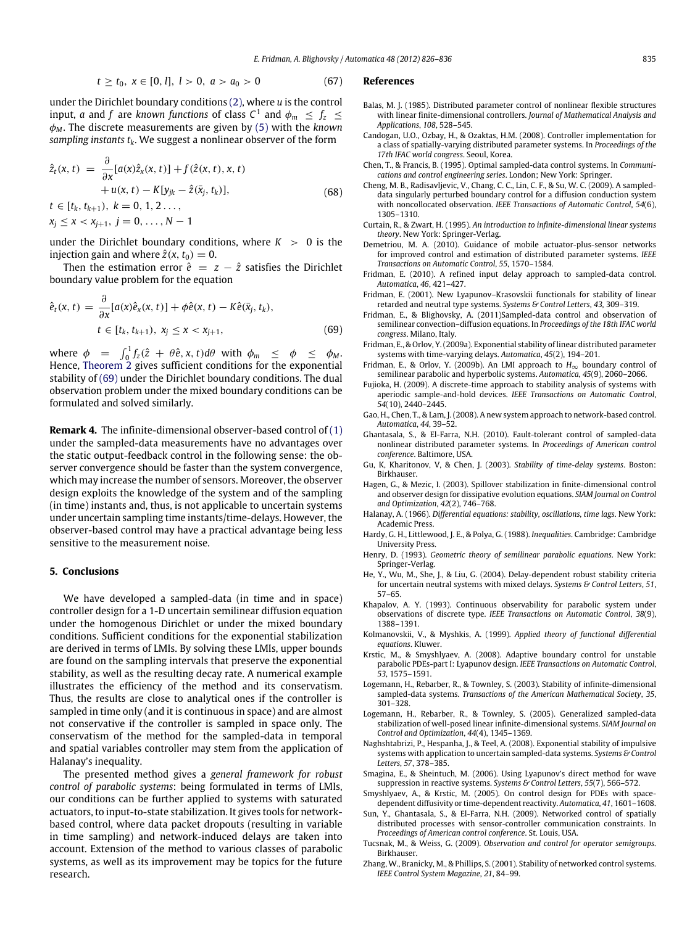$$
t \ge t_0, \ x \in [0, l], \ l > 0, \ a > a_0 > 0 \tag{67}
$$

under the Dirichlet boundary conditions [\(2\),](#page-1-1) where *u* is the control input, *a* and *f* are *known functions* of class  $C^1$  and  $\phi_m \leq f_z \leq$ φ*<sup>M</sup>* . The discrete measurements are given by [\(5\)](#page-1-5) with the *known sampling instants tk*. We suggest a nonlinear observer of the form

$$
\hat{z}_t(x, t) = \frac{\partial}{\partial x} [a(x)\hat{z}_x(x, t)] + f(\hat{z}(x, t), x, t) \n+ u(x, t) - K[y_{jk} - \hat{z}(\bar{x}_j, t_k)], \nt \in [t_k, t_{k+1}), k = 0, 1, 2..., \nx_j \le x < x_{j+1}, j = 0, ..., N - 1
$$
\n(68)

under the Dirichlet boundary conditions, where  $K > 0$  is the injection gain and where  $\hat{z}(x, t_0) = 0$ .

Then the estimation error  $\hat{e} = z - \hat{z}$  satisfies the Dirichlet boundary value problem for the equation

$$
\hat{e}_t(x,t) = \frac{\partial}{\partial x} [a(x)\hat{e}_x(x,t)] + \phi \hat{e}(x,t) - K\hat{e}(\bar{x}_j, t_k),
$$
  
\n
$$
t \in [t_k, t_{k+1}), x_j \le x < x_{j+1},
$$
\n(69)

where  $\phi = \int_0^1 f_z(\hat{z} + \theta \hat{e}, x, t) d\theta$  with  $\phi_m \leq \phi \leq \phi_m$ . Hence, [Theorem 2](#page-6-5) gives sufficient conditions for the exponential stability of [\(69\)](#page-9-31) under the Dirichlet boundary conditions. The dual observation problem under the mixed boundary conditions can be formulated and solved similarly.

**Remark 4.** The infinite-dimensional observer-based control of [\(1\)](#page-1-0) under the sampled-data measurements have no advantages over the static output-feedback control in the following sense: the observer convergence should be faster than the system convergence, which may increase the number of sensors. Moreover, the observer design exploits the knowledge of the system and of the sampling (in time) instants and, thus, is not applicable to uncertain systems under uncertain sampling time instants/time-delays. However, the observer-based control may have a practical advantage being less sensitive to the measurement noise.

#### **5. Conclusions**

We have developed a sampled-data (in time and in space) controller design for a 1-D uncertain semilinear diffusion equation under the homogenous Dirichlet or under the mixed boundary conditions. Sufficient conditions for the exponential stabilization are derived in terms of LMIs. By solving these LMIs, upper bounds are found on the sampling intervals that preserve the exponential stability, as well as the resulting decay rate. A numerical example illustrates the efficiency of the method and its conservatism. Thus, the results are close to analytical ones if the controller is sampled in time only (and it is continuous in space) and are almost not conservative if the controller is sampled in space only. The conservatism of the method for the sampled-data in temporal and spatial variables controller may stem from the application of Halanay's inequality.

The presented method gives a *general framework for robust control of parabolic systems*: being formulated in terms of LMIs, our conditions can be further applied to systems with saturated actuators, to input-to-state stabilization. It gives tools for networkbased control, where data packet dropouts (resulting in variable in time sampling) and network-induced delays are taken into account. Extension of the method to various classes of parabolic systems, as well as its improvement may be topics for the future research.

#### **References**

- <span id="page-9-0"></span>Balas, M. J. (1985). Distributed parameter control of nonlinear flexible structures with linear finite-dimensional controllers. *Journal of Mathematical Analysis and Applications*, *108*, 528–545.
- <span id="page-9-1"></span>Candogan, U.O., Ozbay, H., & Ozaktas, H.M. (2008). Controller implementation for a class of spatially-varying distributed parameter systems. In *Proceedings of the 17th IFAC world congress*. Seoul, Korea.
- <span id="page-9-7"></span>Chen, T., & Francis, B. (1995). Optimal sampled-data control systems. In *Communications and control engineering series*. London; New York: Springer.
- <span id="page-9-11"></span>Cheng, M. B., Radisavljevic, V., Chang, C. C., Lin, C. F., & Su, W. C. (2009). A sampleddata singularly perturbed boundary control for a diffusion conduction system with noncollocated observation. *IEEE Transactions of Automatic Control*, *54*(6), 1305–1310.
- <span id="page-9-20"></span>Curtain, R., & Zwart, H. (1995). *An introduction to infinite-dimensional linear systems theory*. New York: Springer-Verlag.
- <span id="page-9-4"></span>Demetriou, M. A. (2010). Guidance of mobile actuator-plus-sensor networks for improved control and estimation of distributed parameter systems. *IEEE Transactions on Automatic Control*, *55*, 1570–1584.
- <span id="page-9-10"></span>Fridman, E. (2010). A refined input delay approach to sampled-data control. *Automatica*, *46*, 421–427.
- <span id="page-9-29"></span>Fridman, E. (2001). New Lyapunov–Krasovskii functionals for stability of linear retarded and neutral type systems. *Systems & Control Letters*, *43*, 309–319.
- <span id="page-9-31"></span><span id="page-9-19"></span>Fridman, E., & Blighovsky, A. (2011)Sampled-data control and observation of semilinear convection–diffusion equations. In *Proceedings of the 18th IFAC world congress*. Milano, Italy.
- <span id="page-9-17"></span>Fridman, E., & Orlov, Y. (2009a). Exponential stability of linear distributed parameter systems with time-varying delays. *Automatica*, *45*(2), 194–201.
- <span id="page-9-18"></span>Fridman, E., & Orlov, Y. (2009b). An LMI approach to  $H_{\infty}$  boundary control of semilinear parabolic and hyperbolic systems. *Automatica*, *45*(9), 2060–2066.
- <span id="page-9-9"></span>Fujioka, H. (2009). A discrete-time approach to stability analysis of systems with aperiodic sample-and-hold devices. *IEEE Transactions on Automatic Control*, *54*(10), 2440–2445.
- <span id="page-9-21"></span>Gao, H., Chen, T., & Lam, J. (2008). A new system approach to network-based control. *Automatica*, *44*, 39–52.
- <span id="page-9-15"></span>Ghantasala, S., & El-Farra, N.H. (2010). Fault-tolerant control of sampled-data nonlinear distributed parameter systems. In *Proceedings of American control conference*. Baltimore, USA.
- <span id="page-9-28"></span>Gu, K, Kharitonov, V, & Chen, J. (2003). *Stability of time-delay systems*. Boston: Birkhauser.
- <span id="page-9-3"></span>Hagen, G., & Mezic, I. (2003). Spillover stabilization in finite-dimensional control and observer design for dissipative evolution equations. *SIAM Journal on Control and Optimization*, *42*(2), 746–768.
- <span id="page-9-23"></span>Halanay, A. (1966). *Differential equations: stability, oscillations, time lags*. New York: Academic Press.
- <span id="page-9-24"></span>Hardy, G. H., Littlewood, J. E., & Polya, G. (1988). *Inequalities*. Cambridge: Cambridge University Press.
- <span id="page-9-26"></span>Henry, D. (1993). *Geometric theory of semilinear parabolic equations*. New York: Springer-Verlag.
- <span id="page-9-30"></span>He, Y., Wu, M., She, J., & Liu, G. (2004). Delay-dependent robust stability criteria for uncertain neutral systems with mixed delays. *Systems & Control Letters*, *51*, 57–65.
- <span id="page-9-14"></span>Khapalov, A. Y. (1993). Continuous observability for parabolic system under observations of discrete type. *IEEE Transactions on Automatic Control*, *38*(9), 1388–1391.
- <span id="page-9-27"></span>Kolmanovskii, V., & Myshkis, A. (1999). *Applied theory of functional differential equations*. Kluwer.
- <span id="page-9-5"></span>Krstic, M., & Smyshlyaev, A. (2008). Adaptive boundary control for unstable parabolic PDEs-part I: Lyapunov design. *IEEE Transactions on Automatic Control*, *53*, 1575–1591.
- <span id="page-9-12"></span>Logemann, H., Rebarber, R., & Townley, S. (2003). Stability of infinite-dimensional sampled-data systems. *Transactions of the American Mathematical Society*, *35*, 301–328.
- <span id="page-9-13"></span>Logemann, H., Rebarber, R., & Townley, S. (2005). Generalized sampled-data stabilization of well-posed linear infinite-dimensional systems. *SIAM Journal on Control and Optimization*, *44*(4), 1345–1369.
- <span id="page-9-8"></span>Naghshtabrizi, P., Hespanha, J., & Teel, A. (2008). Exponential stability of impulsive systems with application to uncertain sampled-data systems. *Systems & Control Letters*, *57*, 378–385.
- <span id="page-9-2"></span>Smagina, E., & Sheintuch, M. (2006). Using Lyapunov's direct method for wave suppression in reactive systems. *Systems & Control Letters*, *55*(7), 566–572.
- <span id="page-9-6"></span>Smyshlyaev, A., & Krstic, M. (2005). On control design for PDEs with spacedependent diffusivity or time-dependent reactivity. *Automatica*, *41*, 1601–1608.
- <span id="page-9-16"></span>Sun, Y., Ghantasala, S., & El-Farra, N.H. (2009). Networked control of spatially distributed processes with sensor-controller communication constraints. In *Proceedings of American control conference*. St. Louis, USA.
- <span id="page-9-25"></span>Tucsnak, M., & Weiss, G. (2009). *Observation and control for operator semigroups*. Birkhauser.
- <span id="page-9-22"></span>Zhang, W., Branicky, M., & Phillips, S. (2001). Stability of networked control systems. *IEEE Control System Magazine*, *21*, 84–99.